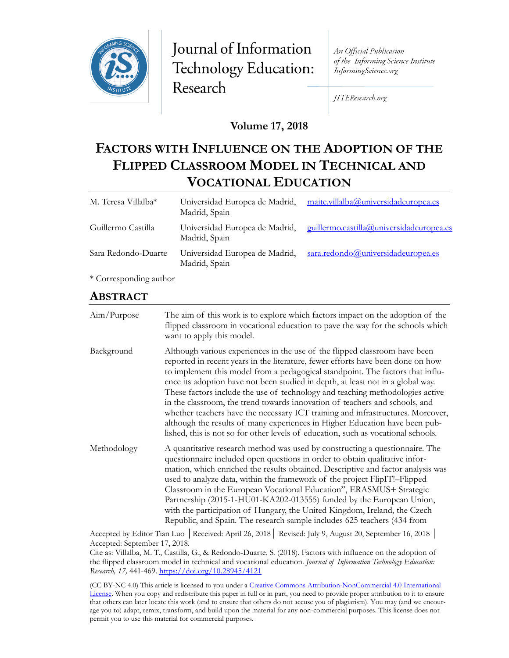

Journal of Information Technology Education: Research

An Official Publication of the Informing Science Institute InformingScience.org

JITEResearch.org

## **Volume 17, 2018**

# **FACTORS WITH INFLUENCE ON THE ADOPTION OF THE FLIPPED CLASSROOM MODEL IN TECHNICAL AND VOCATIONAL EDUCATION**

| M. Teresa Villalba* | Universidad Europea de Madrid,<br>Madrid, Spain | maite.villalba@universidadeuropea.es     |
|---------------------|-------------------------------------------------|------------------------------------------|
| Guillermo Castilla  | Universidad Europea de Madrid,<br>Madrid, Spain | guillermo.castilla@universidadeuropea.es |
| Sara Redondo-Duarte | Universidad Europea de Madrid,<br>Madrid, Spain | sara.redondo@universidadeuropea.es       |
| $\sim$              |                                                 |                                          |

\* Corresponding author

# **ABSTRACT**

| Aim/Purpose | The aim of this work is to explore which factors impact on the adoption of the<br>flipped classroom in vocational education to pave the way for the schools which<br>want to apply this model.                                                                                                                                                                                                                                                                                                                                                                                                                                                                                                                                                            |
|-------------|-----------------------------------------------------------------------------------------------------------------------------------------------------------------------------------------------------------------------------------------------------------------------------------------------------------------------------------------------------------------------------------------------------------------------------------------------------------------------------------------------------------------------------------------------------------------------------------------------------------------------------------------------------------------------------------------------------------------------------------------------------------|
| Background  | Although various experiences in the use of the flipped classroom have been<br>reported in recent years in the literature, fewer efforts have been done on how<br>to implement this model from a pedagogical standpoint. The factors that influ-<br>ence its adoption have not been studied in depth, at least not in a global way.<br>These factors include the use of technology and teaching methodologies active<br>in the classroom, the trend towards innovation of teachers and schools, and<br>whether teachers have the necessary ICT training and infrastructures. Moreover,<br>although the results of many experiences in Higher Education have been pub-<br>lished, this is not so for other levels of education, such as vocational schools. |
| Methodology | A quantitative research method was used by constructing a questionnaire. The<br>questionnaire included open questions in order to obtain qualitative infor-<br>mation, which enriched the results obtained. Descriptive and factor analysis was<br>used to analyze data, within the framework of the project FlipIT!-Flipped<br>Classroom in the European Vocational Education", ERASMUS+ Strategic<br>Partnership (2015-1-HU01-KA202-013555) funded by the European Union,<br>with the participation of Hungary, the United Kingdom, Ireland, the Czech<br>Republic, and Spain. The research sample includes 625 teachers (434 from                                                                                                                      |

Accepted by Editor Tian Luo │Received: April 26, 2018│ Revised: July 9, August 20, September 16, 2018 │ Accepted: September 17, 2018.

Cite as: Villalba, M. T., Castilla, G., & Redondo-Duarte, S. (2018). Factors with influence on the adoption of the flipped classroom model in technical and vocational education. *Journal of Information Technology Education: Research, 17,* 441-469. <https://doi.org/10.28945/4121>

(CC BY-NC 4.0) This article is licensed to you under a Creative Commons Attribution[-NonCommercial 4.0 International](https://creativecommons.org/licenses/by-nc/4.0/)  [License](https://creativecommons.org/licenses/by-nc/4.0/). When you copy and redistribute this paper in full or in part, you need to provide proper attribution to it to ensure that others can later locate this work (and to ensure that others do not accuse you of plagiarism). You may (and we encourage you to) adapt, remix, transform, and build upon the material for any non-commercial purposes. This license does not permit you to use this material for commercial purposes.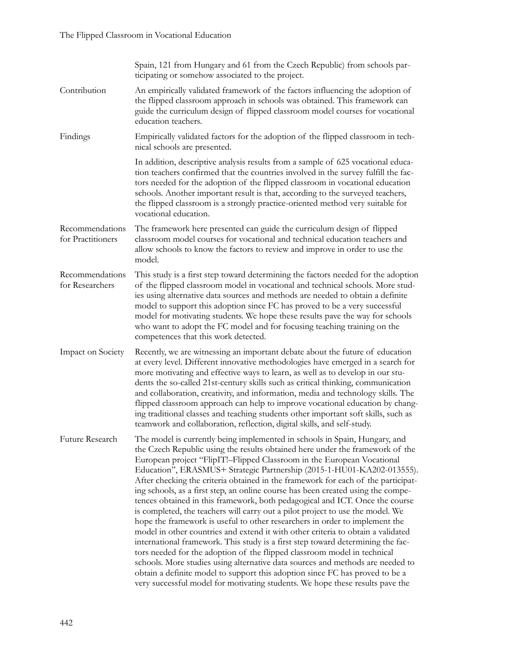|                                      | Spain, 121 from Hungary and 61 from the Czech Republic) from schools par-<br>ticipating or somehow associated to the project.                                                                                                                                                                                                                                                                                                                                                                                                                                                                                                                                                                                                                                                                                                                                                                                                                                                                                                                                                                                                                                                                                                                   |
|--------------------------------------|-------------------------------------------------------------------------------------------------------------------------------------------------------------------------------------------------------------------------------------------------------------------------------------------------------------------------------------------------------------------------------------------------------------------------------------------------------------------------------------------------------------------------------------------------------------------------------------------------------------------------------------------------------------------------------------------------------------------------------------------------------------------------------------------------------------------------------------------------------------------------------------------------------------------------------------------------------------------------------------------------------------------------------------------------------------------------------------------------------------------------------------------------------------------------------------------------------------------------------------------------|
| Contribution                         | An empirically validated framework of the factors influencing the adoption of<br>the flipped classroom approach in schools was obtained. This framework can<br>guide the curriculum design of flipped classroom model courses for vocational<br>education teachers.                                                                                                                                                                                                                                                                                                                                                                                                                                                                                                                                                                                                                                                                                                                                                                                                                                                                                                                                                                             |
| Findings                             | Empirically validated factors for the adoption of the flipped classroom in tech-<br>nical schools are presented.                                                                                                                                                                                                                                                                                                                                                                                                                                                                                                                                                                                                                                                                                                                                                                                                                                                                                                                                                                                                                                                                                                                                |
|                                      | In addition, descriptive analysis results from a sample of 625 vocational educa-<br>tion teachers confirmed that the countries involved in the survey fulfill the fac-<br>tors needed for the adoption of the flipped classroom in vocational education<br>schools. Another important result is that, according to the surveyed teachers,<br>the flipped classroom is a strongly practice-oriented method very suitable for<br>vocational education.                                                                                                                                                                                                                                                                                                                                                                                                                                                                                                                                                                                                                                                                                                                                                                                            |
| Recommendations<br>for Practitioners | The framework here presented can guide the curriculum design of flipped<br>classroom model courses for vocational and technical education teachers and<br>allow schools to know the factors to review and improve in order to use the<br>model.                                                                                                                                                                                                                                                                                                                                                                                                                                                                                                                                                                                                                                                                                                                                                                                                                                                                                                                                                                                                 |
| Recommendations<br>for Researchers   | This study is a first step toward determining the factors needed for the adoption<br>of the flipped classroom model in vocational and technical schools. More stud-<br>ies using alternative data sources and methods are needed to obtain a definite<br>model to support this adoption since FC has proved to be a very successful<br>model for motivating students. We hope these results pave the way for schools<br>who want to adopt the FC model and for focusing teaching training on the<br>competences that this work detected.                                                                                                                                                                                                                                                                                                                                                                                                                                                                                                                                                                                                                                                                                                        |
| Impact on Society                    | Recently, we are witnessing an important debate about the future of education<br>at every level. Different innovative methodologies have emerged in a search for<br>more motivating and effective ways to learn, as well as to develop in our stu-<br>dents the so-called 21st-century skills such as critical thinking, communication<br>and collaboration, creativity, and information, media and technology skills. The<br>flipped classroom approach can help to improve vocational education by chang-<br>ing traditional classes and teaching students other important soft skills, such as<br>teamwork and collaboration, reflection, digital skills, and self-study.                                                                                                                                                                                                                                                                                                                                                                                                                                                                                                                                                                    |
| Future Research                      | The model is currently being implemented in schools in Spain, Hungary, and<br>the Czech Republic using the results obtained here under the framework of the<br>European project "FlipIT!-Flipped Classroom in the European Vocational<br>Education", ERASMUS+ Strategic Partnership (2015-1-HU01-KA202-013555).<br>After checking the criteria obtained in the framework for each of the participat-<br>ing schools, as a first step, an online course has been created using the compe-<br>tences obtained in this framework, both pedagogical and ICT. Once the course<br>is completed, the teachers will carry out a pilot project to use the model. We<br>hope the framework is useful to other researchers in order to implement the<br>model in other countries and extend it with other criteria to obtain a validated<br>international framework. This study is a first step toward determining the fac-<br>tors needed for the adoption of the flipped classroom model in technical<br>schools. More studies using alternative data sources and methods are needed to<br>obtain a definite model to support this adoption since FC has proved to be a<br>very successful model for motivating students. We hope these results pave the |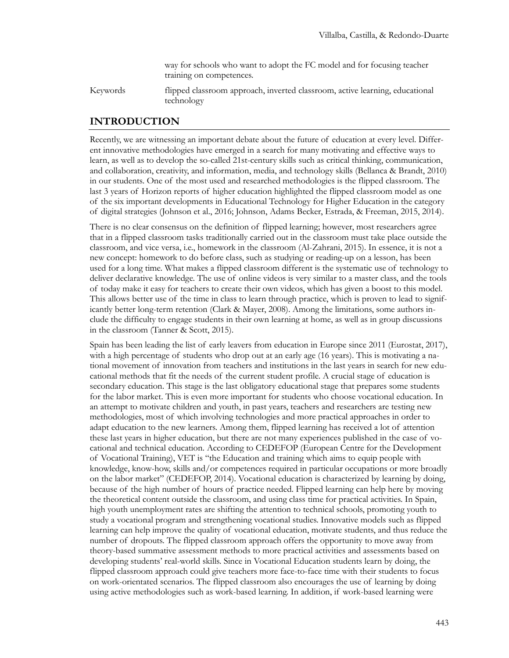way for schools who want to adopt the FC model and for focusing teacher training on competences.

Keywords flipped classroom approach, inverted classroom, active learning, educational technology

## **INTRODUCTION**

Recently, we are witnessing an important debate about the future of education at every level. Different innovative methodologies have emerged in a search for many motivating and effective ways to learn, as well as to develop the so-called 21st-century skills such as critical thinking, communication, and collaboration, creativity, and information, media, and technology skills (Bellanca & Brandt, 2010) in our students. One of the most used and researched methodologies is the flipped classroom. The last 3 years of Horizon reports of higher education highlighted the flipped classroom model as one of the six important developments in Educational Technology for Higher Education in the category of digital strategies (Johnson et al., 2016; Johnson, Adams Becker, Estrada, & Freeman, 2015, 2014).

There is no clear consensus on the definition of flipped learning; however, most researchers agree that in a flipped classroom tasks traditionally carried out in the classroom must take place outside the classroom, and vice versa, i.e., homework in the classroom (Al-Zahrani, 2015). In essence, it is not a new concept: homework to do before class, such as studying or reading-up on a lesson, has been used for a long time. What makes a flipped classroom different is the systematic use of technology to deliver declarative knowledge. The use of online videos is very similar to a master class, and the tools of today make it easy for teachers to create their own videos, which has given a boost to this model. This allows better use of the time in class to learn through practice, which is proven to lead to significantly better long-term retention (Clark & Mayer, 2008). Among the limitations, some authors include the difficulty to engage students in their own learning at home, as well as in group discussions in the classroom (Tanner & Scott, 2015).

Spain has been leading the list of early leavers from education in Europe since 2011 (Eurostat, 2017), with a high percentage of students who drop out at an early age (16 years). This is motivating a national movement of innovation from teachers and institutions in the last years in search for new educational methods that fit the needs of the current student profile. A crucial stage of education is secondary education. This stage is the last obligatory educational stage that prepares some students for the labor market. This is even more important for students who choose vocational education. In an attempt to motivate children and youth, in past years, teachers and researchers are testing new methodologies, most of which involving technologies and more practical approaches in order to adapt education to the new learners. Among them, flipped learning has received a lot of attention these last years in higher education, but there are not many experiences published in the case of vocational and technical education. According to CEDEFOP (European Centre for the Development of Vocational Training), VET is "the Education and training which aims to equip people with knowledge, know-how, skills and/or competences required in particular occupations or more broadly on the labor market" (CEDEFOP, 2014). Vocational education is characterized by learning by doing, because of the high number of hours of practice needed. Flipped learning can help here by moving the theoretical content outside the classroom, and using class time for practical activities. In Spain, high youth unemployment rates are shifting the attention to technical schools, promoting youth to study a vocational program and strengthening vocational studies. Innovative models such as flipped learning can help improve the quality of vocational education, motivate students, and thus reduce the number of dropouts. The flipped classroom approach offers the opportunity to move away from theory-based summative assessment methods to more practical activities and assessments based on developing students' real-world skills. Since in Vocational Education students learn by doing, the flipped classroom approach could give teachers more face-to-face time with their students to focus on work-orientated scenarios. The flipped classroom also encourages the use of learning by doing using active methodologies such as work-based learning. In addition, if work-based learning were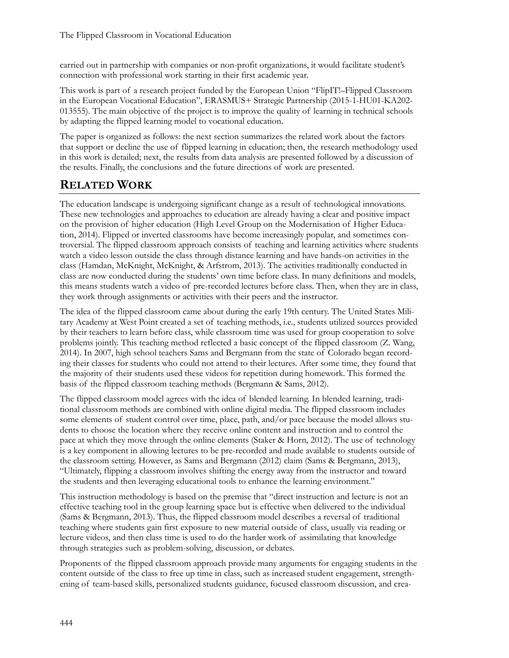carried out in partnership with companies or non-profit organizations, it would facilitate student's connection with professional work starting in their first academic year.

This work is part of a research project funded by the European Union "FlipIT!–Flipped Classroom in the European Vocational Education", ERASMUS+ Strategic Partnership (2015-1-HU01-KA202- 013555). The main objective of the project is to improve the quality of learning in technical schools by adapting the flipped learning model to vocational education.

The paper is organized as follows: the next section summarizes the related work about the factors that support or decline the use of flipped learning in education; then, the research methodology used in this work is detailed; next, the results from data analysis are presented followed by a discussion of the results. Finally, the conclusions and the future directions of work are presented.

# **RELATED WORK**

The education landscape is undergoing significant change as a result of technological innovations. These new technologies and approaches to education are already having a clear and positive impact on the provision of higher education (High Level Group on the Modernisation of Higher Education, 2014). Flipped or inverted classrooms have become increasingly popular, and sometimes controversial. The flipped classroom approach consists of teaching and learning activities where students watch a video lesson outside the class through distance learning and have hands-on activities in the class (Hamdan, McKnight, McKnight, & Arfstrom, 2013). The activities traditionally conducted in class are now conducted during the students' own time before class. In many definitions and models, this means students watch a video of pre-recorded lectures before class. Then, when they are in class, they work through assignments or activities with their peers and the instructor.

The idea of the flipped classroom came about during the early 19th century. The United States Military Academy at West Point created a set of teaching methods, i.e., students utilized sources provided by their teachers to learn before class, while classroom time was used for group cooperation to solve problems jointly. This teaching method reflected a basic concept of the flipped classroom (Z. Wang, 2014). In 2007, high school teachers Sams and Bergmann from the state of Colorado began recording their classes for students who could not attend to their lectures. After some time, they found that the majority of their students used these videos for repetition during homework. This formed the basis of the flipped classroom teaching methods (Bergmann & Sams, 2012).

The flipped classroom model agrees with the idea of blended learning. In blended learning, traditional classroom methods are combined with online digital media. The flipped classroom includes some elements of student control over time, place, path, and/or pace because the model allows students to choose the location where they receive online content and instruction and to control the pace at which they move through the online elements (Staker & Horn, 2012). The use of technology is a key component in allowing lectures to be pre-recorded and made available to students outside of the classroom setting. However, as Sams and Bergmann (2012) claim (Sams & Bergmann, 2013), "Ultimately, flipping a classroom involves shifting the energy away from the instructor and toward the students and then leveraging educational tools to enhance the learning environment."

This instruction methodology is based on the premise that "direct instruction and lecture is not an effective teaching tool in the group learning space but is effective when delivered to the individual (Sams & Bergmann, 2013). Thus, the flipped classroom model describes a reversal of traditional teaching where students gain first exposure to new material outside of class, usually via reading or lecture videos, and then class time is used to do the harder work of assimilating that knowledge through strategies such as problem-solving, discussion, or debates.

Proponents of the flipped classroom approach provide many arguments for engaging students in the content outside of the class to free up time in class, such as increased student engagement, strengthening of team-based skills, personalized students guidance, focused classroom discussion, and crea-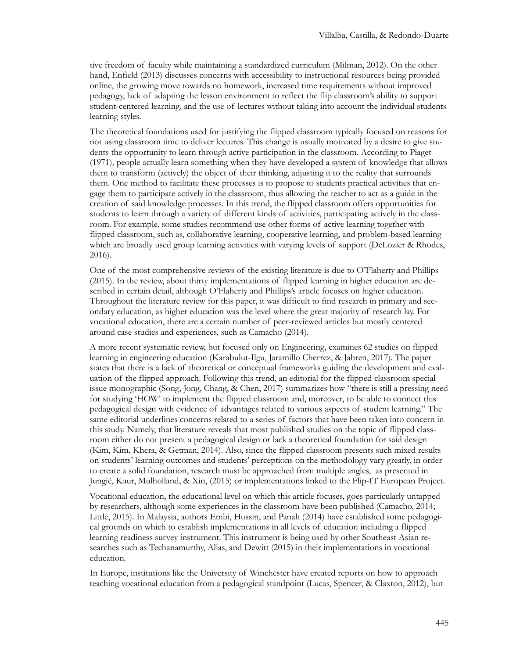tive freedom of faculty while maintaining a standardized curriculum (Milman, 2012). On the other hand, Enfield (2013) discusses concerns with accessibility to instructional resources being provided online, the growing move towards no homework, increased time requirements without improved pedagogy, lack of adapting the lesson environment to reflect the flip classroom's ability to support student-centered learning, and the use of lectures without taking into account the individual students learning styles.

The theoretical foundations used for justifying the flipped classroom typically focused on reasons for not using classroom time to deliver lectures. This change is usually motivated by a desire to give students the opportunity to learn through active participation in the classroom. According to Piaget (1971), people actually learn something when they have developed a system of knowledge that allows them to transform (actively) the object of their thinking, adjusting it to the reality that surrounds them. One method to facilitate these processes is to propose to students practical activities that engage them to participate actively in the classroom, thus allowing the teacher to act as a guide in the creation of said knowledge processes. In this trend, the flipped classroom offers opportunities for students to learn through a variety of different kinds of activities, participating actively in the classroom. For example, some studies recommend use other forms of active learning together with flipped classroom, such as, collaborative learning, cooperative learning, and problem-based learning which are broadly used group learning activities with varying levels of support (DeLozier & Rhodes, 2016).

One of the most comprehensive reviews of the existing literature is due to O'Flaherty and Phillips (2015). In the review, about thirty implementations of flipped learning in higher education are described in certain detail, although O'Flaherty and Phillips's article focuses on higher education. Throughout the literature review for this paper, it was difficult to find research in primary and secondary education, as higher education was the level where the great majority of research lay. For vocational education, there are a certain number of peer-reviewed articles but mostly centered around case studies and experiences, such as Camacho (2014).

A more recent systematic review, but focused only on Engineering, examines 62 studies on flipped learning in engineering education (Karabulut-Ilgu, Jaramillo Cherrez, & Jahren, 2017). The paper states that there is a lack of theoretical or conceptual frameworks guiding the development and evaluation of the flipped approach. Following this trend, an editorial for the flipped classroom special issue monographic (Song, Jong, Chang, & Chen, 2017) summarizes how "there is still a pressing need for studying 'HOW' to implement the flipped classroom and, moreover, to be able to connect this pedagogical design with evidence of advantages related to various aspects of student learning." The same editorial underlines concerns related to a series of factors that have been taken into concern in this study. Namely, that literature reveals that most published studies on the topic of flipped classroom either do not present a pedagogical design or lack a theoretical foundation for said design (Kim, Kim, Khera, & Getman, 2014). Also, since the flipped classroom presents such mixed results on students' learning outcomes and students' perceptions on the methodology vary greatly, in order to create a solid foundation, research must be approached from multiple angles, as presented in Jungić, Kaur, Mulholland, & Xin, (2015) or implementations linked to the Flip-IT European Project.

Vocational education, the educational level on which this article focuses, goes particularly untapped by researchers, although some experiences in the classroom have been published (Camacho, 2014; Little, 2015). In Malaysia, authors Embi, Hussin, and Panah (2014) have established some pedagogical grounds on which to establish implementations in all levels of education including a flipped learning readiness survey instrument. This instrument is being used by other Southeast Asian researches such as Techanamurthy, Alias, and Dewitt (2015) in their implementations in vocational education.

In Europe, institutions like the University of Winchester have created reports on how to approach teaching vocational education from a pedagogical standpoint (Lucas, Spencer, & Claxton, 2012), but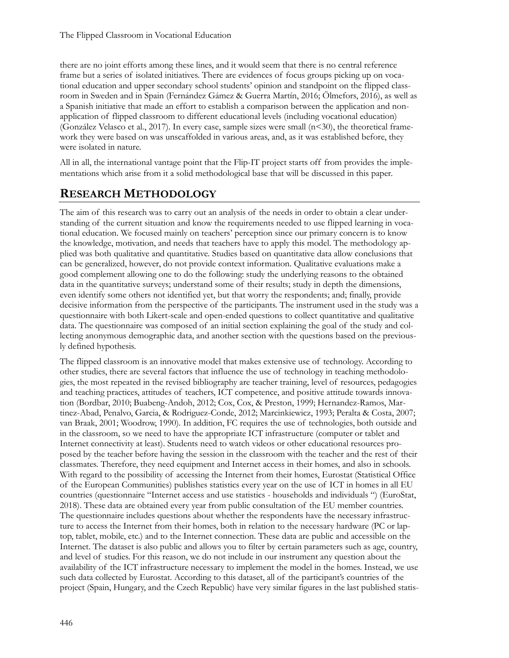there are no joint efforts among these lines, and it would seem that there is no central reference frame but a series of isolated initiatives. There are evidences of focus groups picking up on vocational education and upper secondary school students' opinion and standpoint on the flipped classroom in Sweden and in Spain (Fernández Gámez & Guerra Martín, 2016; Ölmefors, 2016), as well as a Spanish initiative that made an effort to establish a comparison between the application and nonapplication of flipped classroom to different educational levels (including vocational education) (González Velasco et al., 2017). In every case, sample sizes were small  $(n<30)$ , the theoretical framework they were based on was unscaffolded in various areas, and, as it was established before, they were isolated in nature.

All in all, the international vantage point that the Flip-IT project starts off from provides the implementations which arise from it a solid methodological base that will be discussed in this paper.

# **RESEARCH METHODOLOGY**

The aim of this research was to carry out an analysis of the needs in order to obtain a clear understanding of the current situation and know the requirements needed to use flipped learning in vocational education. We focused mainly on teachers' perception since our primary concern is to know the knowledge, motivation, and needs that teachers have to apply this model. The methodology applied was both qualitative and quantitative. Studies based on quantitative data allow conclusions that can be generalized, however, do not provide context information. Qualitative evaluations make a good complement allowing one to do the following: study the underlying reasons to the obtained data in the quantitative surveys; understand some of their results; study in depth the dimensions, even identify some others not identified yet, but that worry the respondents; and; finally, provide decisive information from the perspective of the participants. The instrument used in the study was a questionnaire with both Likert-scale and open-ended questions to collect quantitative and qualitative data. The questionnaire was composed of an initial section explaining the goal of the study and collecting anonymous demographic data, and another section with the questions based on the previously defined hypothesis.

The flipped classroom is an innovative model that makes extensive use of technology. According to other studies, there are several factors that influence the use of technology in teaching methodologies, the most repeated in the revised bibliography are teacher training, level of resources, pedagogies and teaching practices, attitudes of teachers, ICT competence, and positive attitude towards innovation (Bordbar, 2010; Buabeng-Andoh, 2012; Cox, Cox, & Preston, 1999; Hernandez-Ramos, Martinez-Abad, Penalvo, Garcia, & Rodriguez-Conde, 2012; Marcinkiewicz, 1993; Peralta & Costa, 2007; van Braak, 2001; Woodrow, 1990). In addition, FC requires the use of technologies, both outside and in the classroom, so we need to have the appropriate ICT infrastructure (computer or tablet and Internet connectivity at least). Students need to watch videos or other educational resources proposed by the teacher before having the session in the classroom with the teacher and the rest of their classmates. Therefore, they need equipment and Internet access in their homes, and also in schools. With regard to the possibility of accessing the Internet from their homes, Eurostat (Statistical Office of the European Communities) publishes statistics every year on the use of ICT in homes in all EU countries (questionnaire "Internet access and use statistics - households and individuals ") (EuroStat, 2018). These data are obtained every year from public consultation of the EU member countries. The questionnaire includes questions about whether the respondents have the necessary infrastructure to access the Internet from their homes, both in relation to the necessary hardware (PC or laptop, tablet, mobile, etc.) and to the Internet connection. These data are public and accessible on the Internet. The dataset is also public and allows you to filter by certain parameters such as age, country, and level of studies. For this reason, we do not include in our instrument any question about the availability of the ICT infrastructure necessary to implement the model in the homes. Instead, we use such data collected by Eurostat. According to this dataset, all of the participant's countries of the project (Spain, Hungary, and the Czech Republic) have very similar figures in the last published statis-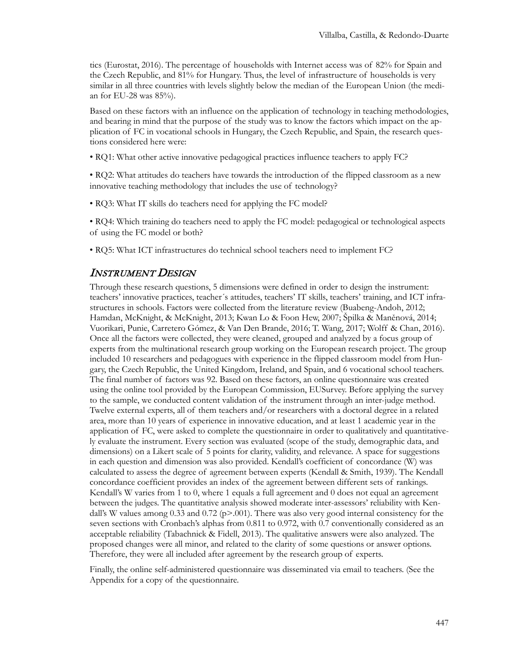tics (Eurostat, 2016). The percentage of households with Internet access was of 82% for Spain and the Czech Republic, and 81% for Hungary. Thus, the level of infrastructure of households is very similar in all three countries with levels slightly below the median of the European Union (the median for EU-28 was 85%).

Based on these factors with an influence on the application of technology in teaching methodologies, and bearing in mind that the purpose of the study was to know the factors which impact on the application of FC in vocational schools in Hungary, the Czech Republic, and Spain, the research questions considered here were:

• RQ1: What other active innovative pedagogical practices influence teachers to apply FC?

• RQ2: What attitudes do teachers have towards the introduction of the flipped classroom as a new innovative teaching methodology that includes the use of technology?

• RQ3: What IT skills do teachers need for applying the FC model?

• RQ4: Which training do teachers need to apply the FC model: pedagogical or technological aspects of using the FC model or both?

• RQ5: What ICT infrastructures do technical school teachers need to implement FC?

## INSTRUMENT DESIGN

Through these research questions, 5 dimensions were defined in order to design the instrument: teachers' innovative practices, teacher´s attitudes, teachers' IT skills, teachers' training, and ICT infrastructures in schools. Factors were collected from the literature review (Buabeng-Andoh, 2012; Hamdan, McKnight, & McKnight, 2013; Kwan Lo & Foon Hew, 2007; Špilka & Maněnová, 2014; Vuorikari, Punie, Carretero Gómez, & Van Den Brande, 2016; T. Wang, 2017; Wolff & Chan, 2016). Once all the factors were collected, they were cleaned, grouped and analyzed by a focus group of experts from the multinational research group working on the European research project. The group included 10 researchers and pedagogues with experience in the flipped classroom model from Hungary, the Czech Republic, the United Kingdom, Ireland, and Spain, and 6 vocational school teachers. The final number of factors was 92. Based on these factors, an online questionnaire was created using the online tool provided by the European Commission, EUSurvey. Before applying the survey to the sample, we conducted content validation of the instrument through an inter-judge method. Twelve external experts, all of them teachers and/or researchers with a doctoral degree in a related area, more than 10 years of experience in innovative education, and at least 1 academic year in the application of FC, were asked to complete the questionnaire in order to qualitatively and quantitatively evaluate the instrument. Every section was evaluated (scope of the study, demographic data, and dimensions) on a Likert scale of 5 points for clarity, validity, and relevance. A space for suggestions in each question and dimension was also provided. Kendall's coefficient of concordance (W) was calculated to assess the degree of agreement between experts (Kendall & Smith, 1939). The Kendall concordance coefficient provides an index of the agreement between different sets of rankings. Kendall's W varies from 1 to 0, where 1 equals a full agreement and 0 does not equal an agreement between the judges. The quantitative analysis showed moderate inter-assessors' reliability with Kendall's W values among 0.33 and 0.72 (p>.001). There was also very good internal consistency for the seven sections with Cronbach's alphas from 0.811 to 0.972, with 0.7 conventionally considered as an acceptable reliability (Tabachnick & Fidell, 2013). The qualitative answers were also analyzed. The proposed changes were all minor, and related to the clarity of some questions or answer options. Therefore, they were all included after agreement by the research group of experts.

Finally, the online self-administered questionnaire was disseminated via email to teachers. (See the Appendix for a copy of the questionnaire.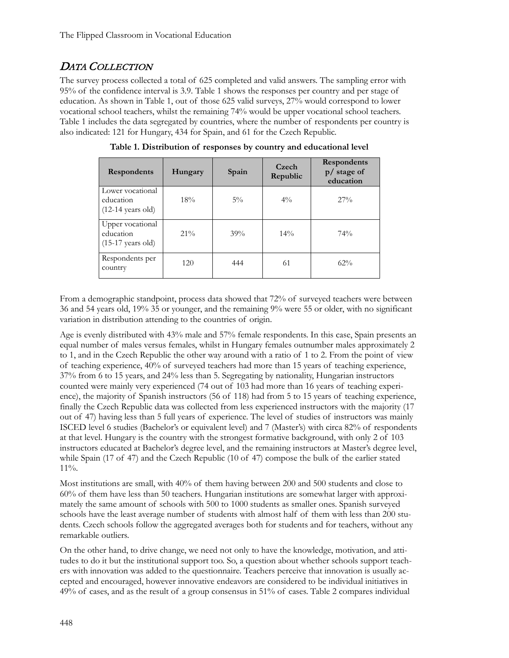# DATA COLLECTION

The survey process collected a total of 625 completed and valid answers. The sampling error with 95% of the confidence interval is 3.9. Table 1 shows the responses per country and per stage of education. As shown in Table 1, out of those 625 valid surveys, 27% would correspond to lower vocational school teachers, whilst the remaining 74% would be upper vocational school teachers. Table 1 includes the data segregated by countries, where the number of respondents per country is also indicated: 121 for Hungary, 434 for Spain, and 61 for the Czech Republic.

| Respondents                                                  | Hungary | Spain | Czech<br>Republic | <b>Respondents</b><br>$p/$ stage of<br>education |
|--------------------------------------------------------------|---------|-------|-------------------|--------------------------------------------------|
| Lower vocational<br>education<br>$(12-14 \text{ years old})$ | 18%     | $5\%$ | $4\frac{0}{0}$    | $27\%$                                           |
| Upper vocational<br>education<br>$(15-17 \text{ years old})$ | $21\%$  | 39%   | $14\%$            | 74%                                              |
| Respondents per<br>country                                   | 120     | 444   | 61                | $62\%$                                           |

**Table 1. Distribution of responses by country and educational level**

From a demographic standpoint, process data showed that 72% of surveyed teachers were between 36 and 54 years old, 19% 35 or younger, and the remaining 9% were 55 or older, with no significant variation in distribution attending to the countries of origin.

Age is evenly distributed with 43% male and 57% female respondents. In this case, Spain presents an equal number of males versus females, whilst in Hungary females outnumber males approximately 2 to 1, and in the Czech Republic the other way around with a ratio of 1 to 2. From the point of view of teaching experience, 40% of surveyed teachers had more than 15 years of teaching experience, 37% from 6 to 15 years, and 24% less than 5. Segregating by nationality, Hungarian instructors counted were mainly very experienced (74 out of 103 had more than 16 years of teaching experience), the majority of Spanish instructors (56 of 118) had from 5 to 15 years of teaching experience, finally the Czech Republic data was collected from less experienced instructors with the majority (17 out of 47) having less than 5 full years of experience. The level of studies of instructors was mainly ISCED level 6 studies (Bachelor's or equivalent level) and 7 (Master's) with circa 82% of respondents at that level. Hungary is the country with the strongest formative background, with only 2 of 103 instructors educated at Bachelor's degree level, and the remaining instructors at Master's degree level, while Spain (17 of 47) and the Czech Republic (10 of 47) compose the bulk of the earlier stated 11%.

Most institutions are small, with 40% of them having between 200 and 500 students and close to 60% of them have less than 50 teachers. Hungarian institutions are somewhat larger with approximately the same amount of schools with 500 to 1000 students as smaller ones. Spanish surveyed schools have the least average number of students with almost half of them with less than 200 students. Czech schools follow the aggregated averages both for students and for teachers, without any remarkable outliers.

On the other hand, to drive change, we need not only to have the knowledge, motivation, and attitudes to do it but the institutional support too. So, a question about whether schools support teachers with innovation was added to the questionnaire. Teachers perceive that innovation is usually accepted and encouraged, however innovative endeavors are considered to be individual initiatives in 49% of cases, and as the result of a group consensus in 51% of cases. Table 2 compares individual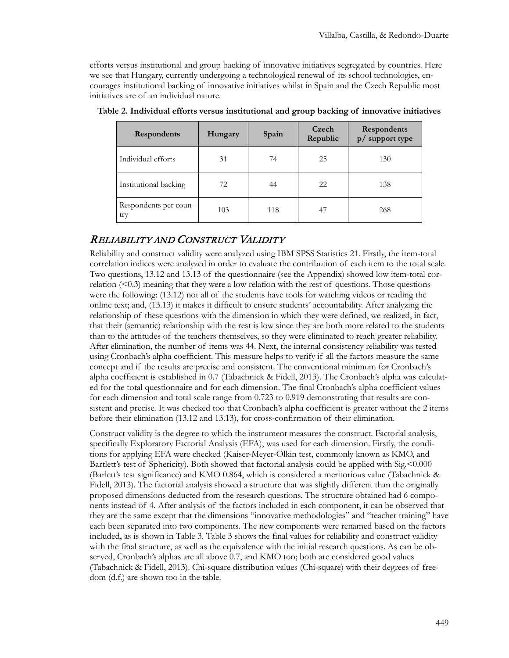efforts versus institutional and group backing of innovative initiatives segregated by countries. Here we see that Hungary, currently undergoing a technological renewal of its school technologies, encourages institutional backing of innovative initiatives whilst in Spain and the Czech Republic most initiatives are of an individual nature.

| Respondents                  | Hungary | Spain | Czech<br>Republic | Respondents<br>p/ support type |
|------------------------------|---------|-------|-------------------|--------------------------------|
| Individual efforts           | 31      | 74    | 25                | 130                            |
| Institutional backing        | 72      | 44    | 22                | 138                            |
| Respondents per coun-<br>try | 103     | 118   | 47                | 268                            |

**Table 2. Individual efforts versus institutional and group backing of innovative initiatives**

## RELIABILITY AND CONSTRUCT VALIDITY

Reliability and construct validity were analyzed using IBM SPSS Statistics 21. Firstly, the item-total correlation indices were analyzed in order to evaluate the contribution of each item to the total scale. Two questions, 13.12 and 13.13 of the questionnaire (see the Appendix) showed low item-total correlation  $(<0.3$ ) meaning that they were a low relation with the rest of questions. Those questions were the following: (13.12) not all of the students have tools for watching videos or reading the online text; and, (13.13) it makes it difficult to ensure students' accountability. After analyzing the relationship of these questions with the dimension in which they were defined, we realized, in fact, that their (semantic) relationship with the rest is low since they are both more related to the students than to the attitudes of the teachers themselves, so they were eliminated to reach greater reliability. After elimination, the number of items was 44. Next, the internal consistency reliability was tested using Cronbach's alpha coefficient. This measure helps to verify if all the factors measure the same concept and if the results are precise and consistent. The conventional minimum for Cronbach's alpha coefficient is established in 0.7 (Tabachnick & Fidell, 2013). The Cronbach's alpha was calculated for the total questionnaire and for each dimension. The final Cronbach's alpha coefficient values for each dimension and total scale range from 0.723 to 0.919 demonstrating that results are consistent and precise. It was checked too that Cronbach's alpha coefficient is greater without the 2 items before their elimination (13.12 and 13.13), for cross-confirmation of their elimination.

Construct validity is the degree to which the instrument measures the construct. Factorial analysis, specifically Exploratory Factorial Analysis (EFA), was used for each dimension. Firstly, the conditions for applying EFA were checked (Kaiser-Meyer-Olkin test, commonly known as KMO, and Bartlett's test of Sphericity). Both showed that factorial analysis could be applied with Sig.<0.000 (Barlett's test significance) and KMO 0.864, which is considered a meritorious value (Tabachnick & Fidell, 2013). The factorial analysis showed a structure that was slightly different than the originally proposed dimensions deducted from the research questions. The structure obtained had 6 components instead of 4. After analysis of the factors included in each component, it can be observed that they are the same except that the dimensions "innovative methodologies" and "teacher training" have each been separated into two components. The new components were renamed based on the factors included, as is shown in Table 3. Table 3 shows the final values for reliability and construct validity with the final structure, as well as the equivalence with the initial research questions. As can be observed, Cronbach's alphas are all above 0.7, and KMO too; both are considered good values (Tabachnick & Fidell, 2013). Chi-square distribution values (Chi-square) with their degrees of freedom (d.f.) are shown too in the table.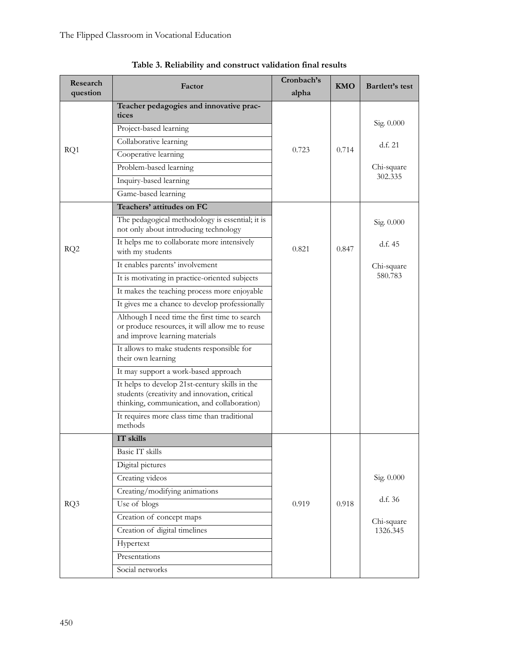| Research<br>question | Factor                                                                                                                                         | Cronbach's<br>alpha | KMO   | Bartlett's test |
|----------------------|------------------------------------------------------------------------------------------------------------------------------------------------|---------------------|-------|-----------------|
|                      | Teacher pedagogies and innovative prac-<br>tices                                                                                               |                     |       |                 |
|                      | Project-based learning                                                                                                                         |                     |       | Sig. 0.000      |
|                      | Collaborative learning                                                                                                                         |                     |       | d.f. 21         |
| RQ1                  | Cooperative learning                                                                                                                           | 0.723               | 0.714 |                 |
|                      | Problem-based learning                                                                                                                         |                     |       | Chi-square      |
|                      | Inquiry-based learning                                                                                                                         |                     |       | 302.335         |
|                      | Game-based learning                                                                                                                            |                     |       |                 |
|                      | Teachers' attitudes on FC                                                                                                                      |                     |       |                 |
|                      | The pedagogical methodology is essential; it is<br>not only about introducing technology                                                       |                     |       | Sig. 0.000      |
| RQ <sub>2</sub>      | It helps me to collaborate more intensively<br>with my students                                                                                | 0.821               | 0.847 | d.f. 45         |
|                      | It enables parents' involvement                                                                                                                |                     |       | Chi-square      |
|                      | It is motivating in practice-oriented subjects                                                                                                 |                     |       | 580.783         |
|                      | It makes the teaching process more enjoyable                                                                                                   |                     |       |                 |
|                      | It gives me a chance to develop professionally                                                                                                 |                     |       |                 |
|                      | Although I need time the first time to search<br>or produce resources, it will allow me to reuse<br>and improve learning materials             |                     |       |                 |
|                      | It allows to make students responsible for<br>their own learning                                                                               |                     |       |                 |
|                      | It may support a work-based approach                                                                                                           |                     |       |                 |
|                      | It helps to develop 21st-century skills in the<br>students (creativity and innovation, critical<br>thinking, communication, and collaboration) |                     |       |                 |
|                      | It requires more class time than traditional<br>methods                                                                                        |                     |       |                 |
|                      | IT skills                                                                                                                                      |                     |       |                 |
|                      | Basic IT skills                                                                                                                                |                     |       |                 |
|                      | Digital pictures                                                                                                                               |                     |       |                 |
|                      | Creating videos                                                                                                                                |                     |       | Sig. 0.000      |
|                      | Creating/modifying animations                                                                                                                  |                     |       | d.f. 36         |
| RQ3                  | Use of blogs                                                                                                                                   | 0.919               | 0.918 |                 |
|                      | Creation of concept maps                                                                                                                       |                     |       | Chi-square      |
|                      | Creation of digital timelines                                                                                                                  |                     |       | 1326.345        |
|                      | Hypertext                                                                                                                                      |                     |       |                 |
|                      | Presentations                                                                                                                                  |                     |       |                 |
|                      | Social networks                                                                                                                                |                     |       |                 |

**Table 3. Reliability and construct validation final results**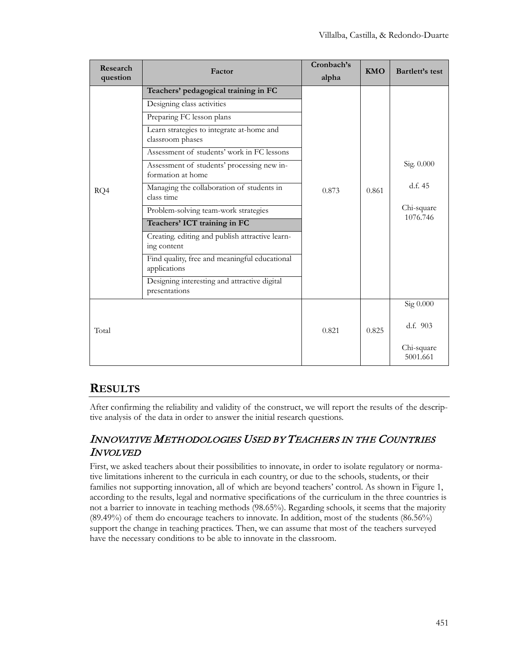| Research<br>question | Factor                                                                                                                                                                                                                                                                                                                                                                                                                                                                                                                                  | Cronbach's<br>alpha | <b>KMO</b> | Bartlett's test                                 |
|----------------------|-----------------------------------------------------------------------------------------------------------------------------------------------------------------------------------------------------------------------------------------------------------------------------------------------------------------------------------------------------------------------------------------------------------------------------------------------------------------------------------------------------------------------------------------|---------------------|------------|-------------------------------------------------|
| RQ4                  | Teachers' pedagogical training in FC<br>Designing class activities<br>Preparing FC lesson plans<br>Learn strategies to integrate at-home and<br>classroom phases<br>Assessment of students' work in FC lessons<br>Assessment of students' processing new in-<br>formation at home<br>Managing the collaboration of students in<br>class time<br>Problem-solving team-work strategies<br>Teachers' ICT training in FC<br>Creating. editing and publish attractive learn-<br>ing content<br>Find quality, free and meaningful educational | 0.873               | 0.861      | Sig. 0.000<br>d.f. 45<br>Chi-square<br>1076.746 |
|                      | applications<br>Designing interesting and attractive digital<br>presentations                                                                                                                                                                                                                                                                                                                                                                                                                                                           |                     |            |                                                 |
| Total                |                                                                                                                                                                                                                                                                                                                                                                                                                                                                                                                                         | 0.821               | 0.825      | Sig 0.000<br>d.f. 903<br>Chi-square<br>5001.661 |

# **RESULTS**

After confirming the reliability and validity of the construct, we will report the results of the descriptive analysis of the data in order to answer the initial research questions.

# INNOVATIVE METHODOLOGIES USED BY TEACHERS IN THE COUNTRIES INVOLVED

First, we asked teachers about their possibilities to innovate, in order to isolate regulatory or normative limitations inherent to the curricula in each country, or due to the schools, students, or their families not supporting innovation, all of which are beyond teachers' control. As shown in Figure 1, according to the results, legal and normative specifications of the curriculum in the three countries is not a barrier to innovate in teaching methods (98.65%). Regarding schools, it seems that the majority (89.49%) of them do encourage teachers to innovate. In addition, most of the students (86.56%) support the change in teaching practices. Then, we can assume that most of the teachers surveyed have the necessary conditions to be able to innovate in the classroom.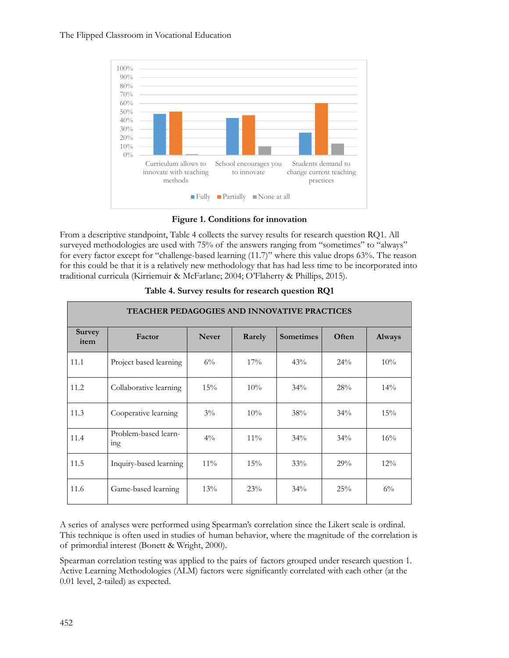

**Figure 1. Conditions for innovation**

From a descriptive standpoint, Table 4 collects the survey results for research question RQ1. All surveyed methodologies are used with 75% of the answers ranging from "sometimes" to "always" for every factor except for "challenge-based learning (11.7)" where this value drops 63%. The reason for this could be that it is a relatively new methodology that has had less time to be incorporated into traditional curricula (Kirriemuir & McFarlane; 2004; O'Flaherty & Phillips, 2015).

|                       | <b>TEACHER PEDAGOGIES AND INNOVATIVE PRACTICES</b> |              |        |                  |       |               |  |
|-----------------------|----------------------------------------------------|--------------|--------|------------------|-------|---------------|--|
| <b>Survey</b><br>item | Factor                                             | <b>Never</b> | Rarely | <b>Sometimes</b> | Often | <b>Always</b> |  |
| 11.1                  | Project based learning                             | $6\%$        | 17%    | 43%              | 24%   | 10%           |  |
| 11.2                  | Collaborative learning                             | 15%          | 10%    | $34\%$           | 28%   | $14\%$        |  |
| 11.3                  | Cooperative learning                               | $3\%$        | 10%    | 38%              | 34%   | 15%           |  |
| 11.4                  | Problem-based learn-<br><sub>1</sub> ng            | $4\%$        | $11\%$ | $34\%$           | 34%   | 16%           |  |
| 11.5                  | Inquiry-based learning                             | $11\%$       | 15%    | 33%              | 29%   | $12\%$        |  |
| 11.6                  | Game-based learning                                | 13%          | 23%    | 34%              | 25%   | $6\%$         |  |

**Table 4. Survey results for research question RQ1**

A series of analyses were performed using Spearman's correlation since the Likert scale is ordinal. This technique is often used in studies of human behavior, where the magnitude of the correlation is of primordial interest (Bonett & Wright, 2000).

Spearman correlation testing was applied to the pairs of factors grouped under research question 1. Active Learning Methodologies (ALM) factors were significantly correlated with each other (at the 0.01 level, 2-tailed) as expected.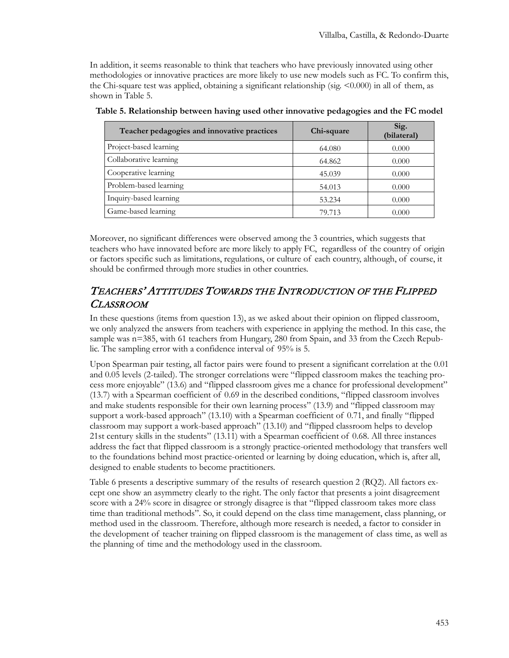In addition, it seems reasonable to think that teachers who have previously innovated using other methodologies or innovative practices are more likely to use new models such as FC. To confirm this, the Chi-square test was applied, obtaining a significant relationship (sig.  $\leq 0.000$ ) in all of them, as shown in Table 5.

| Teacher pedagogies and innovative practices | Chi-square | Sig.<br>(bilateral) |
|---------------------------------------------|------------|---------------------|
| Project-based learning                      | 64.080     | 0.000               |
| Collaborative learning                      | 64.862     | 0.000               |
| Cooperative learning                        | 45.039     | 0.000               |
| Problem-based learning                      | 54.013     | 0.000               |
| Inquiry-based learning                      | 53.234     | 0.000               |
| Game-based learning                         | 79.713     | 0.000               |

**Table 5. Relationship between having used other innovative pedagogies and the FC model**

Moreover, no significant differences were observed among the 3 countries, which suggests that teachers who have innovated before are more likely to apply FC, regardless of the country of origin or factors specific such as limitations, regulations, or culture of each country, although, of course, it should be confirmed through more studies in other countries.

## TEACHERS' ATTITUDES TOWARDS THE INTRODUCTION OF THE FLIPPED CLASSROOM

In these questions (items from question 13), as we asked about their opinion on flipped classroom, we only analyzed the answers from teachers with experience in applying the method. In this case, the sample was n=385, with 61 teachers from Hungary, 280 from Spain, and 33 from the Czech Republic. The sampling error with a confidence interval of 95% is 5.

Upon Spearman pair testing, all factor pairs were found to present a significant correlation at the 0.01 and 0.05 levels (2-tailed). The stronger correlations were "flipped classroom makes the teaching process more enjoyable" (13.6) and "flipped classroom gives me a chance for professional development" (13.7) with a Spearman coefficient of 0.69 in the described conditions, "flipped classroom involves and make students responsible for their own learning process" (13.9) and "flipped classroom may support a work-based approach" (13.10) with a Spearman coefficient of 0.71, and finally "flipped classroom may support a work-based approach" (13.10) and "flipped classroom helps to develop 21st century skills in the students" (13.11) with a Spearman coefficient of 0.68. All three instances address the fact that flipped classroom is a strongly practice-oriented methodology that transfers well to the foundations behind most practice-oriented or learning by doing education, which is, after all, designed to enable students to become practitioners.

Table 6 presents a descriptive summary of the results of research question 2 (RQ2). All factors except one show an asymmetry clearly to the right. The only factor that presents a joint disagreement score with a 24% score in disagree or strongly disagree is that "flipped classroom takes more class time than traditional methods". So, it could depend on the class time management, class planning, or method used in the classroom. Therefore, although more research is needed, a factor to consider in the development of teacher training on flipped classroom is the management of class time, as well as the planning of time and the methodology used in the classroom.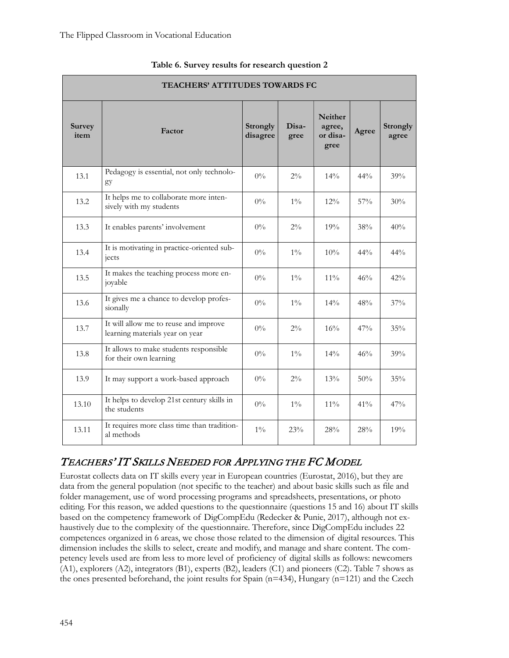|                       | <b>TEACHERS' ATTITUDES TOWARDS FC</b>                                    |                             |               |                                              |        |                   |  |
|-----------------------|--------------------------------------------------------------------------|-----------------------------|---------------|----------------------------------------------|--------|-------------------|--|
| <b>Survey</b><br>item | Factor                                                                   | <b>Strongly</b><br>disagree | Disa-<br>gree | <b>Neither</b><br>agree,<br>or disa-<br>gree | Agree  | Strongly<br>agree |  |
| 13.1                  | Pedagogy is essential, not only technolo-<br>gy                          | $0\%$                       | $2\%$         | $14\%$                                       | $44\%$ | 39%               |  |
| 13.2                  | It helps me to collaborate more inten-<br>sively with my students        | $0\%$                       | $1\%$         | 12%                                          | 57%    | 30%               |  |
| 13.3                  | It enables parents' involvement                                          | $0\%$                       | $2\%$         | 19%                                          | 38%    | 40%               |  |
| 13.4                  | It is motivating in practice-oriented sub-<br>jects                      | $0\%$                       | $1\%$         | 10%                                          | 44%    | 44%               |  |
| 13.5                  | It makes the teaching process more en-<br>joyable                        | $0\%$                       | $1\%$         | 11%                                          | 46%    | 42%               |  |
| 13.6                  | It gives me a chance to develop profes-<br>sionally                      | $0\%$                       | $1\%$         | 14%                                          | 48%    | 37%               |  |
| 13.7                  | It will allow me to reuse and improve<br>learning materials year on year | $0\%$                       | $2\%$         | 16%                                          | 47%    | 35%               |  |
| 13.8                  | It allows to make students responsible<br>for their own learning         | $0\%$                       | $1\%$         | $14\%$                                       | 46%    | 39%               |  |
| 13.9                  | It may support a work-based approach                                     | $0\%$                       | $2\%$         | 13%                                          | 50%    | 35%               |  |
| 13.10                 | It helps to develop 21st century skills in<br>the students               | $0\%$                       | $1\%$         | $11\%$                                       | 41%    | 47%               |  |
| 13.11                 | It requires more class time than tradition-<br>al methods                | $1\%$                       | 23%           | 28%                                          | 28%    | 19%               |  |

### **Table 6. Survey results for research question 2**

## TEACHERS' IT SKILLS NEEDED FOR APPLYING THE FC MODEL

Eurostat collects data on IT skills every year in European countries (Eurostat, 2016), but they are data from the general population (not specific to the teacher) and about basic skills such as file and folder management, use of word processing programs and spreadsheets, presentations, or photo editing. For this reason, we added questions to the questionnaire (questions 15 and 16) about IT skills based on the competency framework of DigCompEdu (Redecker & Punie, 2017), although not exhaustively due to the complexity of the questionnaire. Therefore, since DigCompEdu includes 22 competences organized in 6 areas, we chose those related to the dimension of digital resources. This dimension includes the skills to select, create and modify, and manage and share content. The competency levels used are from less to more level of proficiency of digital skills as follows: newcomers (A1), explorers (A2), integrators (B1), experts (B2), leaders (C1) and pioneers (C2). Table 7 shows as the ones presented beforehand, the joint results for Spain  $(n=434)$ , Hungary  $(n=121)$  and the Czech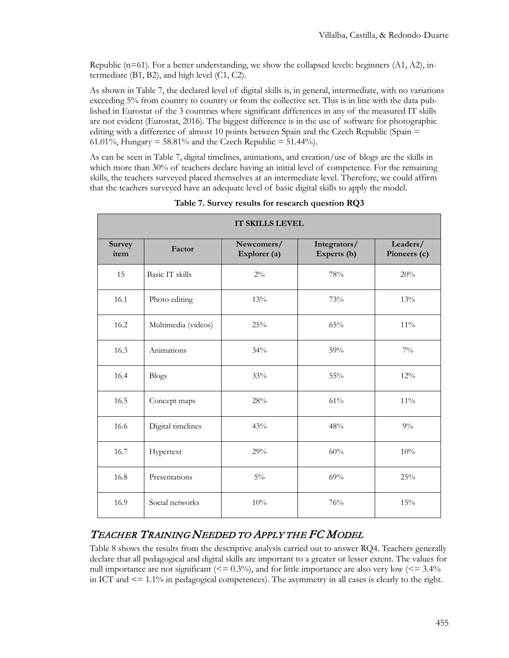Republic ( $n=61$ ). For a better understanding, we show the collapsed levels: beginners (A1, A2), intermediate (B1, B2), and high level (C1, C2).

As shown in Table 7, the declared level of digital skills is, in general, intermediate, with no variations exceeding 5% from country to country or from the collective set. This is in line with the data published in Eurostat of the 3 countries where significant differences in any of the measured IT skills are not evident (Eurostat, 2016). The biggest difference is in the use of software for photographic editing with a difference of almost 10 points between Spain and the Czech Republic (Spain = 61.01%, Hungary = 58.81% and the Czech Republic = 51.44%).

As can be seen in Table 7, digital timelines, animations, and creation/use of blogs are the skills in which more than 30% of teachers declare having an initial level of competence. For the remaining skills, the teachers surveyed placed themselves at an intermediate level. Therefore, we could affirm that the teachers surveyed have an adequate level of basic digital skills to apply the model.

|                | IT SKILLS LEVEL     |                            |                             |                          |  |  |  |
|----------------|---------------------|----------------------------|-----------------------------|--------------------------|--|--|--|
| Survey<br>item | Factor              | Newcomers/<br>Explorer (a) | Integrators/<br>Experts (b) | Leaders/<br>Pioneers (c) |  |  |  |
| 15             | Basic IT skills     | $2\%$                      | 78%                         | 20%                      |  |  |  |
| 16.1           | Photo editing       | 13%                        | 73%                         | 13%                      |  |  |  |
| 16.2           | Multimedia (videos) | 25%                        | 65%                         | $11\%$                   |  |  |  |
| 16.3           | Animations          | 34%                        | 59%                         | $7\%$                    |  |  |  |
| 16.4           | <b>Blogs</b>        | 33%                        | $55\%$                      | 12%                      |  |  |  |
| 16.5           | Concept maps        | 28%                        | 61%                         | 11%                      |  |  |  |
| 16.6           | Digital timelines   | 43%                        | 48%                         | $9\%$                    |  |  |  |
| 16.7           | Hypertext           | 29%                        | 60%                         | 10%                      |  |  |  |
| 16.8           | Presentations       | $5\%$                      | 69%                         | 25%                      |  |  |  |
| 16.9           | Social networks     | 10%                        | 76%                         | 15%                      |  |  |  |

### **Table 7. Survey results for research question RQ3**

# TEACHER TRAINING NEEDED TO APPLY THE FC MODEL

Table 8 shows the results from the descriptive analysis carried out to answer RQ4. Teachers generally declare that all pedagogical and digital skills are important to a greater or lesser extent. The values for null importance are not significant ( $\leq 0.3\%$ ), and for little importance are also very low ( $\leq 3.4\%$ ) in ICT and  $\leq$  1.1% in pedagogical competences). The asymmetry in all cases is clearly to the right.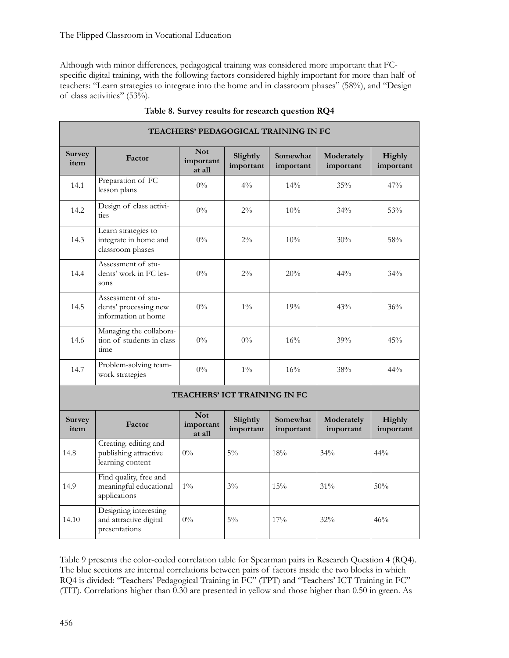Although with minor differences, pedagogical training was considered more important that FCspecific digital training, with the following factors considered highly important for more than half of teachers: "Learn strategies to integrate into the home and in classroom phases" (58%), and "Design of class activities" (53%).

| TEACHERS' PEDAGOGICAL TRAINING IN FC |                                                                    |                                   |                                     |                       |                         |                            |
|--------------------------------------|--------------------------------------------------------------------|-----------------------------------|-------------------------------------|-----------------------|-------------------------|----------------------------|
| <b>Survey</b><br>item                | Factor                                                             | <b>Not</b><br>important<br>at all | Slightly<br>important               | Somewhat<br>important | Moderately<br>important | Highly<br>important        |
| 14.1                                 | Preparation of FC<br>lesson plans                                  | $0\%$                             | $4\frac{0}{0}$                      | $14\%$                | 35%                     | 47%                        |
| 14.2                                 | Design of class activi-<br>ties                                    | $0\%$                             | $2\%$                               | 10%                   | 34%                     | 53%                        |
| 14.3                                 | Learn strategies to<br>integrate in home and<br>classroom phases   | $0\%$                             | $2\%$                               | $10\%$                | 30%                     | 58%                        |
| 14.4                                 | Assessment of stu-<br>dents' work in FC les-<br>sons               | $0\%$                             | $2\%$                               | 20%                   | $44\%$                  | $34\%$                     |
| 14.5                                 | Assessment of stu-<br>dents' processing new<br>information at home | $0\%$                             | $1\%$                               | 19%                   | 43%                     | 36%                        |
| 14.6                                 | Managing the collabora-<br>tion of students in class<br>time       | $0\%$                             | $0\%$                               | 16%                   | 39%                     | 45%                        |
| 14.7                                 | Problem-solving team-<br>work strategies                           | $0\%$                             | $1\%$                               | 16%                   | 38%                     | 44%                        |
|                                      |                                                                    |                                   | <b>TEACHERS' ICT TRAINING IN FC</b> |                       |                         |                            |
| <b>Survey</b><br>item                | Factor                                                             | <b>Not</b><br>important<br>at all | Slightly<br>important               | Somewhat<br>important | Moderately<br>important | <b>Highly</b><br>important |
| 14.8                                 | Creating. editing and<br>publishing attractive<br>learning content | $0\%$                             | $5\%$                               | 18%                   | 34%                     | $44\%$                     |
| 14.9                                 | Find quality, free and<br>meaningful educational<br>applications   | $1\%$                             | $3\%$                               | 15%                   | 31%                     | 50%                        |
| 14.10                                | Designing interesting<br>and attractive digital<br>presentations   | $0\%$                             | $5\%$                               | 17%                   | 32%                     | 46%                        |

|  |  |  | Table 8. Survey results for research question RQ4 |
|--|--|--|---------------------------------------------------|
|--|--|--|---------------------------------------------------|

Table 9 presents the color-coded correlation table for Spearman pairs in Research Question 4 (RQ4). The blue sections are internal correlations between pairs of factors inside the two blocks in which RQ4 is divided: "Teachers' Pedagogical Training in FC" (TPT) and "Teachers' ICT Training in FC" (TIT). Correlations higher than 0.30 are presented in yellow and those higher than 0.50 in green. As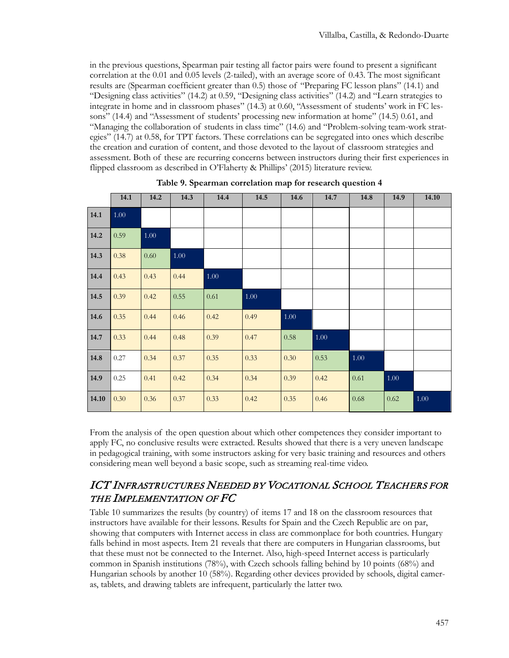in the previous questions, Spearman pair testing all factor pairs were found to present a significant correlation at the 0.01 and 0.05 levels (2-tailed), with an average score of 0.43. The most significant results are (Spearman coefficient greater than 0.5) those of "Preparing FC lesson plans" (14.1) and "Designing class activities" (14.2) at 0.59, "Designing class activities" (14.2) and "Learn strategies to integrate in home and in classroom phases" (14.3) at 0.60, "Assessment of students' work in FC lessons" (14.4) and "Assessment of students' processing new information at home" (14.5) 0.61, and "Managing the collaboration of students in class time" (14.6) and "Problem-solving team-work strategies" (14.7) at 0.58, for TPT factors. These correlations can be segregated into ones which describe the creation and curation of content, and those devoted to the layout of classroom strategies and assessment. Both of these are recurring concerns between instructors during their first experiences in flipped classroom as described in O'Flaherty & Phillips' (2015) literature review.

|       | 14.1 | 14.2 | 14.3 | 14.4     | 14.5 | 14.6 | 14.7     | 14.8 | 14.9 | 14.10 |
|-------|------|------|------|----------|------|------|----------|------|------|-------|
| 14.1  | 1.00 |      |      |          |      |      |          |      |      |       |
| 14.2  | 0.59 | 1.00 |      |          |      |      |          |      |      |       |
| 14.3  | 0.38 | 0.60 | 1.00 |          |      |      |          |      |      |       |
| 14.4  | 0.43 | 0.43 | 0.44 | $1.00\,$ |      |      |          |      |      |       |
| 14.5  | 0.39 | 0.42 | 0.55 | 0.61     | 1.00 |      |          |      |      |       |
| 14.6  | 0.35 | 0.44 | 0.46 | 0.42     | 0.49 | 1.00 |          |      |      |       |
| 14.7  | 0.33 | 0.44 | 0.48 | 0.39     | 0.47 | 0.58 | $1.00\,$ |      |      |       |
| 14.8  | 0.27 | 0.34 | 0.37 | 0.35     | 0.33 | 0.30 | 0.53     | 1.00 |      |       |
| 14.9  | 0.25 | 0.41 | 0.42 | 0.34     | 0.34 | 0.39 | 0.42     | 0.61 | 1.00 |       |
| 14.10 | 0.30 | 0.36 | 0.37 | 0.33     | 0.42 | 0.35 | 0.46     | 0.68 | 0.62 | 1.00  |

**Table 9. Spearman correlation map for research question 4**

From the analysis of the open question about which other competences they consider important to apply FC, no conclusive results were extracted. Results showed that there is a very uneven landscape in pedagogical training, with some instructors asking for very basic training and resources and others considering mean well beyond a basic scope, such as streaming real-time video.

## ICT INFRASTRUCTURES NEEDED BY VOCATIONAL SCHOOL TEACHERS FOR THE IMPLEMENTATION OF FC

Table 10 summarizes the results (by country) of items 17 and 18 on the classroom resources that instructors have available for their lessons. Results for Spain and the Czech Republic are on par, showing that computers with Internet access in class are commonplace for both countries. Hungary falls behind in most aspects. Item 21 reveals that there are computers in Hungarian classrooms, but that these must not be connected to the Internet. Also, high-speed Internet access is particularly common in Spanish institutions (78%), with Czech schools falling behind by 10 points (68%) and Hungarian schools by another 10 (58%). Regarding other devices provided by schools, digital cameras, tablets, and drawing tablets are infrequent, particularly the latter two.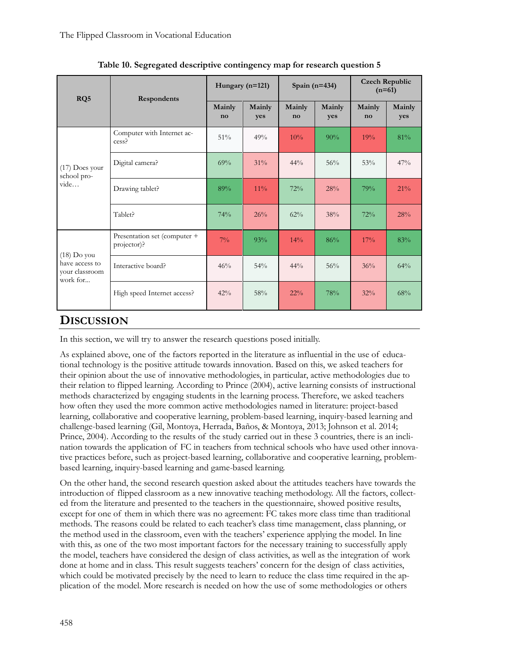| RQ5                                                           | Respondents                                 | Hungary $(n=121)$ |               | Spain $(n=434)$ |               | <b>Czech Republic</b><br>$(n=61)$ |               |
|---------------------------------------------------------------|---------------------------------------------|-------------------|---------------|-----------------|---------------|-----------------------------------|---------------|
|                                                               |                                             | Mainly<br>no      | Mainly<br>yes | Mainly<br>no    | Mainly<br>yes | Mainly<br>no                      | Mainly<br>yes |
|                                                               | Computer with Internet ac-<br>cess?         | 51%               | 49%           | 10%             | 90%           | 19%                               | 81%           |
| $(17)$ Does your<br>school pro-<br>vide                       | Digital camera?                             | 69%               | 31%           | $44\%$          | 56%           | 53%                               | 47%           |
|                                                               | Drawing tablet?                             | 89%               | $11\%$        | 72%             | 28%           | 79%                               | 21%           |
|                                                               | Tablet?                                     | 74%               | 26%           | 62%             | 38%           | 72%                               | 28%           |
| $(18)$ Do you<br>have access to<br>your classroom<br>work for | Presentation set (computer +<br>projector)? | $7\%$             | 93%           | 14%             | 86%           | 17%                               | 83%           |
|                                                               | Interactive board?                          | 46%               | 54%           | $44\%$          | 56%           | 36%                               | 64%           |
|                                                               | High speed Internet access?                 | 42%               | 58%           | $22\%$          | 78%           | 32%                               | 68%           |

**Table 10. Segregated descriptive contingency map for research question 5**

## **DISCUSSION**

In this section, we will try to answer the research questions posed initially.

As explained above, one of the factors reported in the literature as influential in the use of educational technology is the positive attitude towards innovation. Based on this, we asked teachers for their opinion about the use of innovative methodologies, in particular, active methodologies due to their relation to flipped learning. According to Prince (2004), active learning consists of instructional methods characterized by engaging students in the learning process. Therefore, we asked teachers how often they used the more common active methodologies named in literature: project-based learning, collaborative and cooperative learning, problem-based learning, inquiry-based learning and challenge-based learning (Gil, Montoya, Herrada, Baños, & Montoya, 2013; Johnson et al. 2014; Prince, 2004). According to the results of the study carried out in these 3 countries, there is an inclination towards the application of FC in teachers from technical schools who have used other innovative practices before, such as project-based learning, collaborative and cooperative learning, problembased learning, inquiry-based learning and game-based learning.

On the other hand, the second research question asked about the attitudes teachers have towards the introduction of flipped classroom as a new innovative teaching methodology. All the factors, collected from the literature and presented to the teachers in the questionnaire, showed positive results, except for one of them in which there was no agreement: FC takes more class time than traditional methods. The reasons could be related to each teacher's class time management, class planning, or the method used in the classroom, even with the teachers' experience applying the model. In line with this, as one of the two most important factors for the necessary training to successfully apply the model, teachers have considered the design of class activities, as well as the integration of work done at home and in class. This result suggests teachers' concern for the design of class activities, which could be motivated precisely by the need to learn to reduce the class time required in the application of the model. More research is needed on how the use of some methodologies or others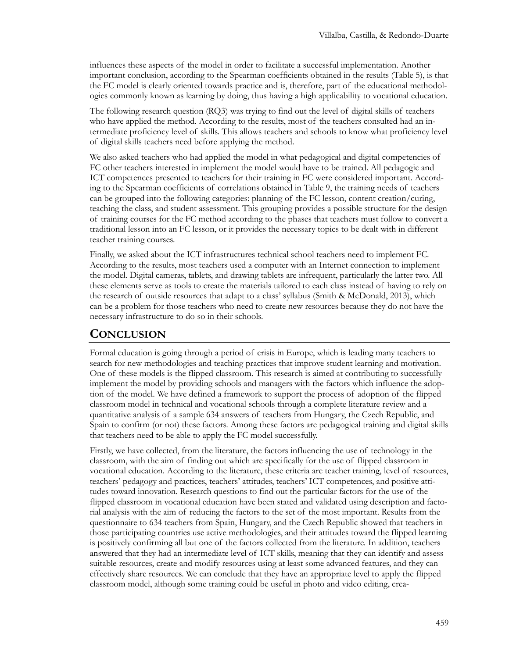influences these aspects of the model in order to facilitate a successful implementation. Another important conclusion, according to the Spearman coefficients obtained in the results (Table 5), is that the FC model is clearly oriented towards practice and is, therefore, part of the educational methodologies commonly known as learning by doing, thus having a high applicability to vocational education.

The following research question (RQ3) was trying to find out the level of digital skills of teachers who have applied the method. According to the results, most of the teachers consulted had an intermediate proficiency level of skills. This allows teachers and schools to know what proficiency level of digital skills teachers need before applying the method.

We also asked teachers who had applied the model in what pedagogical and digital competencies of FC other teachers interested in implement the model would have to be trained. All pedagogic and ICT competences presented to teachers for their training in FC were considered important. According to the Spearman coefficients of correlations obtained in Table 9, the training needs of teachers can be grouped into the following categories: planning of the FC lesson, content creation/curing, teaching the class, and student assessment. This grouping provides a possible structure for the design of training courses for the FC method according to the phases that teachers must follow to convert a traditional lesson into an FC lesson, or it provides the necessary topics to be dealt with in different teacher training courses.

Finally, we asked about the ICT infrastructures technical school teachers need to implement FC. According to the results, most teachers used a computer with an Internet connection to implement the model. Digital cameras, tablets, and drawing tablets are infrequent, particularly the latter two. All these elements serve as tools to create the materials tailored to each class instead of having to rely on the research of outside resources that adapt to a class' syllabus (Smith & McDonald, 2013), which can be a problem for those teachers who need to create new resources because they do not have the necessary infrastructure to do so in their schools.

# **CONCLUSION**

Formal education is going through a period of crisis in Europe, which is leading many teachers to search for new methodologies and teaching practices that improve student learning and motivation. One of these models is the flipped classroom. This research is aimed at contributing to successfully implement the model by providing schools and managers with the factors which influence the adoption of the model. We have defined a framework to support the process of adoption of the flipped classroom model in technical and vocational schools through a complete literature review and a quantitative analysis of a sample 634 answers of teachers from Hungary, the Czech Republic, and Spain to confirm (or not) these factors. Among these factors are pedagogical training and digital skills that teachers need to be able to apply the FC model successfully.

Firstly, we have collected, from the literature, the factors influencing the use of technology in the classroom, with the aim of finding out which are specifically for the use of flipped classroom in vocational education. According to the literature, these criteria are teacher training, level of resources, teachers' pedagogy and practices, teachers' attitudes, teachers' ICT competences, and positive attitudes toward innovation. Research questions to find out the particular factors for the use of the flipped classroom in vocational education have been stated and validated using description and factorial analysis with the aim of reducing the factors to the set of the most important. Results from the questionnaire to 634 teachers from Spain, Hungary, and the Czech Republic showed that teachers in those participating countries use active methodologies, and their attitudes toward the flipped learning is positively confirming all but one of the factors collected from the literature. In addition, teachers answered that they had an intermediate level of ICT skills, meaning that they can identify and assess suitable resources, create and modify resources using at least some advanced features, and they can effectively share resources. We can conclude that they have an appropriate level to apply the flipped classroom model, although some training could be useful in photo and video editing, crea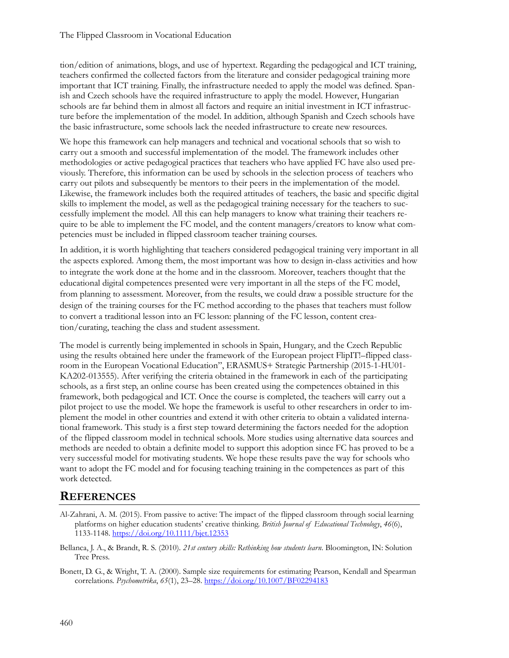tion/edition of animations, blogs, and use of hypertext. Regarding the pedagogical and ICT training, teachers confirmed the collected factors from the literature and consider pedagogical training more important that ICT training. Finally, the infrastructure needed to apply the model was defined. Spanish and Czech schools have the required infrastructure to apply the model. However, Hungarian schools are far behind them in almost all factors and require an initial investment in ICT infrastructure before the implementation of the model. In addition, although Spanish and Czech schools have the basic infrastructure, some schools lack the needed infrastructure to create new resources.

We hope this framework can help managers and technical and vocational schools that so wish to carry out a smooth and successful implementation of the model. The framework includes other methodologies or active pedagogical practices that teachers who have applied FC have also used previously. Therefore, this information can be used by schools in the selection process of teachers who carry out pilots and subsequently be mentors to their peers in the implementation of the model. Likewise, the framework includes both the required attitudes of teachers, the basic and specific digital skills to implement the model, as well as the pedagogical training necessary for the teachers to successfully implement the model. All this can help managers to know what training their teachers require to be able to implement the FC model, and the content managers/creators to know what competencies must be included in flipped classroom teacher training courses.

In addition, it is worth highlighting that teachers considered pedagogical training very important in all the aspects explored. Among them, the most important was how to design in-class activities and how to integrate the work done at the home and in the classroom. Moreover, teachers thought that the educational digital competences presented were very important in all the steps of the FC model, from planning to assessment. Moreover, from the results, we could draw a possible structure for the design of the training courses for the FC method according to the phases that teachers must follow to convert a traditional lesson into an FC lesson: planning of the FC lesson, content creation/curating, teaching the class and student assessment.

The model is currently being implemented in schools in Spain, Hungary, and the Czech Republic using the results obtained here under the framework of the European project FlipIT!–flipped classroom in the European Vocational Education", ERASMUS+ Strategic Partnership (2015-1-HU01- KA202-013555). After verifying the criteria obtained in the framework in each of the participating schools, as a first step, an online course has been created using the competences obtained in this framework, both pedagogical and ICT. Once the course is completed, the teachers will carry out a pilot project to use the model. We hope the framework is useful to other researchers in order to implement the model in other countries and extend it with other criteria to obtain a validated international framework. This study is a first step toward determining the factors needed for the adoption of the flipped classroom model in technical schools. More studies using alternative data sources and methods are needed to obtain a definite model to support this adoption since FC has proved to be a very successful model for motivating students. We hope these results pave the way for schools who want to adopt the FC model and for focusing teaching training in the competences as part of this work detected.

# **REFERENCES**

- Al-Zahrani, A. M. (2015). From passive to active: The impact of the flipped classroom through social learning platforms on higher education students' creative thinking. *British Journal of Educational Technology*, *46*(6), 1133-1148. <https://doi.org/10.1111/bjet.12353>
- Bellanca, J. A., & Brandt, R. S. (2010). *21st century skills: Rethinking how students learn*. Bloomington, IN: Solution Tree Press.
- Bonett, D. G., & Wright, T. A. (2000). Sample size requirements for estimating Pearson, Kendall and Spearman correlations. *Psychometrika*, *65*(1), 23–28. [https://doi.org/10.1007/BF02294](https://doi.org/10.1007/BF02294183)183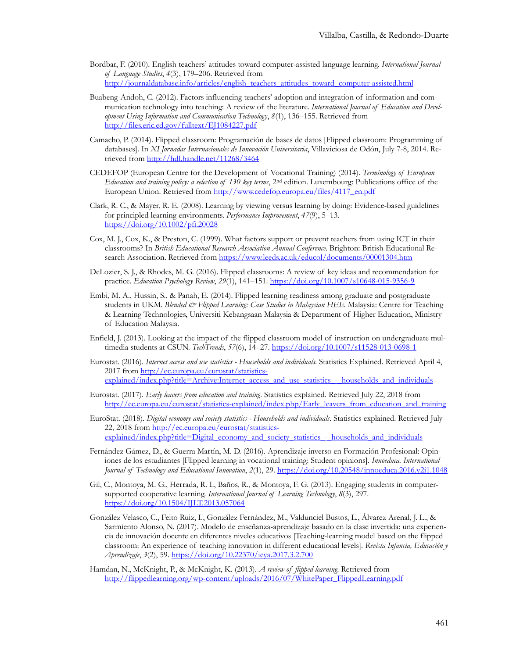- Bordbar, F. (2010). English teachers' attitudes toward computer-assisted language learning. *International Journal of Language Studies*, *4*(3), 179–206. Retrieved from [http://journaldatabase.info/articles/english\\_teachers\\_attitudes\\_toward\\_computer](http://journaldatabase.info/articles/english_teachers_attitudes_toward_computer-assisted.html)-assisted.html
- Buabeng-Andoh, C. (2012). Factors influencing teachers' adoption and integration of information and communication technology into teaching: A review of the literature. *International Journal of Education and Development Using Information and Communication Technology*, *8*(1), 136–155. Retrieved from <http://files.eric.ed.gov/fulltext/EJ1084227.pdf>
- Camacho, P. (2014). Flipped classroom: Programación de bases de datos [Flipped classroom: Programming of databases]. In *XI Jornadas Internacionales de Innovación Universitaria*, Villaviciosa de Odón, July 7-8, 2014. Retrieved fro[m http://hdl.handle.net/11268/3464](http://hdl.handle.net/11268/3464)
- CEDEFOP (European Centre for the Development of Vocational Training) (2014). *Terminology of European Education and training policy: a selection of 130 key terms*, 2nd edition. Luxembourg: Publications office of the European Union. Retrieved from [http://www.cedefop.europa.eu/files/4117\\_en.pdf](http://www.cedefop.europa.eu/files/4117_en.pdf)
- Clark, R. C., & Mayer, R. E. (2008). Learning by viewing versus learning by doing: Evidence-based guidelines for principled learning environments. *Performance Improvement*, *47*(9), 5–13. <https://doi.org/10.1002/pfi.20028>
- Cox, M. J., Cox, K., & Preston, C. (1999). What factors support or prevent teachers from using ICT in their classrooms? In *British Educational Research Association Annual Conference*. Brighton: British Educational Research Association. Retrieved from<https://www.leeds.ac.uk/educol/documents/00001304.htm>
- DeLozier, S. J., & Rhodes, M. G. (2016). Flipped classrooms: A review of key ideas and recommendation for practice. *Education Psychology Review*, *29*(1), 141–151. [https://doi.org/10.1007/s10648](https://doi.org/10.1007/s10648-015-9356-9)-015-9356-9
- Embi, M. A., Hussin, S., & Panah, E. (2014). Flipped learning readiness among graduate and postgraduate students in UKM. *Blended & Flipped Learning: Case Studies in Malaysian HEIs*. Malaysia: Centre for Teaching & Learning Technologies, Universiti Kebangsaan Malaysia & Department of Higher Education, Ministry of Education Malaysia.
- Enfield, J. (2013). Looking at the impact of the flipped classroom model of instruction on undergraduate multimedia students at CSUN. *TechTrends*, *57*(6), 14–27. [https://doi.org/10.1007/s11528](https://doi.org/10.1007/s11528-013-0698-1)-013-0698-1
- Eurostat. (2016). *Internet access and use statistics - Households and individuals*. Statistics Explained. Retrieved April 4, 2017 from [http://ec.europa.eu/eurostat/statistics](http://ec.europa.eu/eurostat/statistics-explained/index.php?title=Archive:Internet_access_and_use_statistics_-_households_and_individuals)[explained/index.php?title=Archive:Internet\\_access\\_and\\_use\\_statistics\\_](http://ec.europa.eu/eurostat/statistics-explained/index.php?title=Archive:Internet_access_and_use_statistics_-_households_and_individuals)-\_households\_and\_individuals
- Eurostat. (2017). *Early leavers from education and training*. Statistics explained. Retrieved July 22, 2018 from http://ec.europa.eu/eurostat/statistics-[explained/index.php/Early\\_leavers\\_from\\_education\\_and\\_training](http://ec.europa.eu/eurostat/statistics-explained/index.php/Early_leavers_from_education_and_training)
- EuroStat. (2018). *Digital economy and society statistics - Households and individuals*. Statistics explained. Retrieved July 22, 2018 from [http://ec.europa.eu/eurostat/statistics](http://ec.europa.eu/eurostat/statistics-explained/index.php?title=Digital_economy_and_society_statistics_-_households_and_individuals)[explained/index.php?title=Digital\\_economy\\_and\\_society\\_statistics\\_](http://ec.europa.eu/eurostat/statistics-explained/index.php?title=Digital_economy_and_society_statistics_-_households_and_individuals)-\_households\_and\_individuals
- Fernández Gámez, D., & Guerra Martín, M. D. (2016). Aprendizaje inverso en Formación Profesional: Opiniones de los estudiantes [Flipped learning in vocational training: Student opinions]. *Innoeduca. International Journal of Technology and Educational Innovation*, *2*(1), 29. <https://doi.org/10.20548/innoeduca.2016.v2i1.1048>
- Gil, C., Montoya, M. G., Herrada, R. I., Baños, R., & Montoya, F. G. (2013). Engaging students in computersupported cooperative learning. *International Journal of Learning Technology*, *8*(3), 297. <https://doi.org/10.1504/IJLT.2013.057064>
- González Velasco, C., Feito Ruiz, I., González Fernández, M., Valdunciel Bustos, L., Álvarez Arenal, J. L., & Sarmiento Alonso, N. (2017). Modelo de enseñanza-aprendizaje basado en la clase invertida: una experiencia de innovación docente en diferentes niveles educativos [Teaching-learning model based on the flipped classroom: An experience of teaching innovation in different educational levels]. *Revista Infancia, Educación y Aprendizaje*, *3*(2), 59.<https://doi.org/10.22370/ieya.2017.3.2.700>
- Hamdan, N., McKnight, P., & McKnight, K. (2013). *A review of flipped learning*. Retrieved from http://flippedlearning.org/wp-[content/uploads/2016/07/WhitePaper\\_FlippedLearning.pdf](http://flippedlearning.org/wp-content/uploads/2016/07/WhitePaper_FlippedLearning.pdf)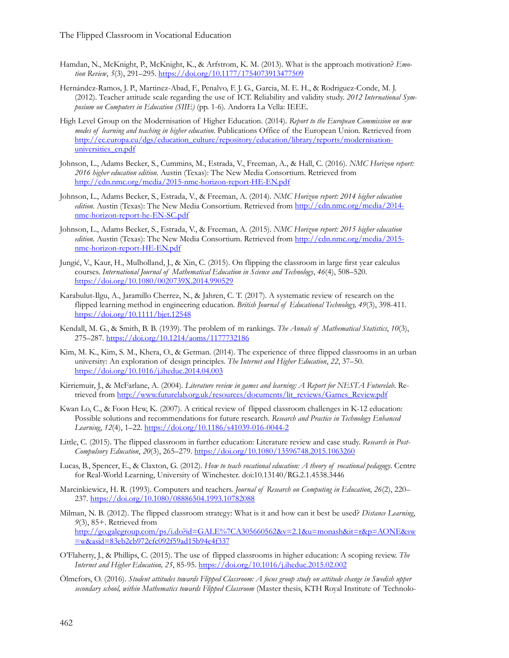- Hamdan, N., McKnight, P., McKnight, K., & Arfstrom, K. M. (2013). What is the approach motivation? *Emotion Review*, *5*(3), 291–295. <https://doi.org/10.1177/1754073913477509>
- Hernández-Ramos, J. P., Martinez-Abad, F., Penalvo, F. J. G., Garcia, M. E. H., & Rodriguez-Conde, M. J. (2012). Teacher attitude scale regarding the use of ICT. Reliability and validity study. *2012 International Symposium on Computers in Education (SIIE)* (pp. 1-6). Andorra La Vella: IEEE.
- High Level Group on the Modernisation of Higher Education. (2014). *Report to the European Commission on new modes of learning and teaching in higher education*. Publications Office of the European Union. Retrieved from [http://ec.europa.eu/dgs/education\\_culture/repository/education/library/reports/modernisation](http://ec.europa.eu/dgs/education_culture/repository/education/library/reports/modernisation-universities_en.pdf)[universities\\_en.pdf](http://ec.europa.eu/dgs/education_culture/repository/education/library/reports/modernisation-universities_en.pdf)
- Johnson, L., Adams Becker, S., Cummins, M., Estrada, V., Freeman, A., & Hall, C. (2016). *NMC Horizon report: 2016 higher education edition*. Austin (Texas): The New Media Consortium. Retrieved from [http://cdn.nmc.org/media/2015](http://cdn.nmc.org/media/2015-nmc-horizon-report-HE-EN.pdf)-nmc-horizon-report-HE-EN.pdf
- Johnson, L., Adams Becker, S., Estrada, V., & Freeman, A. (2014). *NMC Horizon report: 2014 higher education*  edition. Austin (Texas): The New Media Consortium. Retrieved from [http://cdn.nmc.org/media/2014](http://cdn.nmc.org/media/2014-nmc-horizon-report-he-EN-SC.pdf)nmc-horizon[-report-](http://cdn.nmc.org/media/2014-nmc-horizon-report-he-EN-SC.pdf)he-EN-SC.pdf
- Johnson, L., Adams Becker, S., Estrada, V., & Freeman, A. (2015). *NMC Horizon report: 2015 higher education edition.* Austin (Texas): The New Media Consortium. Retrieved from [http://cdn.nmc.org/media/2015](http://cdn.nmc.org/media/2015-nmc-horizon-report-HE-EN.pdf) nmc-horizon[-report-](http://cdn.nmc.org/media/2015-nmc-horizon-report-HE-EN.pdf)HE-EN.pdf
- Jungić, V., Kaur, H., Mulholland, J., & Xin, C. (2015). On flipping the classroom in large first year calculus courses. *International Journal of Mathematical Education in Science and Technology*, *46*(4), 508–520. <https://doi.org/10.1080/0020739X.2014.990529>
- Karabulut-Ilgu, A., Jaramillo Cherrez, N., & Jahren, C. T. (2017). A systematic review of research on the flipped learning method in engineering education. *British Journal of Educational Technology, 49*(3), 398-411. <https://doi.org/10.1111/bjet.12548>
- Kendall, M. G., & Smith, B. B. (1939). The problem of m rankings. *The Annals of Mathematical Statistics*, *10*(3), 275–287. <https://doi.org/10.1214/aoms/1177732186>
- Kim, M. K., Kim, S. M., Khera, O., & Getman. (2014). The experience of three flipped classrooms in an urban university: An exploration of design principles. *The Internet and Higher Education*, *22*, 37–50. <https://doi.org/10.1016/j.iheduc.2014.04.003>
- Kirriemuir, J., & McFarlane, A. (2004). *Literature review in games and learning: A Report for NESTA Futurelab*. Retrieved fro[m http://www.futurelab.org.uk/resources/documents/lit\\_reviews/Games\\_Review.pdf](http://www.futurelab.org.uk/resources/documents/lit_reviews/Games_Review.pdf)
- Kwan Lo, C., & Foon Hew, K. (2007). A critical review of flipped classroom challenges in K-12 education: Possible solutions and recommendations for future research. *Research and Practice in Technology Enhanced Learning*, *12*(4), 1–22. [https://doi.org/10.1186/s41039](https://doi.org/10.1186/s41039-016-0044-2)-016-0044-2
- Little, C. (2015). The flipped classroom in further education: Literature review and case study. *Research in Post-Compulsory Education*, *20*(3), 265–279. <https://doi.org/10.1080/13596748.2015.1063260>
- Lucas, B., Spencer, E., & Claxton, G. (2012). *How to teach vocational education: A theory of vocational pedagogy*. Centre for Real-World Learning, University of Winchester. doi:10.13140/RG.2.1.4538.3446
- Marcinkiewicz, H. R. (1993). Computers and teachers. *Journal of Research on Computing in Education*, *26*(2), 220– 237. <https://doi.org/10.1080/08886504.1993.10782088>
- Milman, N. B. (2012). The flipped classroom strategy: What is it and how can it best be used? *Distance Learning*, *9*(3), 85+. Retrieved from [http://go.galegroup.com/ps/i.do?id=GALE%7CA305660562&v=2.1&u=monash&it=r&p=AONE&sw](http://go.galegroup.com/ps/i.do?id=GALE%7CA305660562&v=2.1&u=monash&it=r&p=AONE&sw=w&asid=83eb2cb972cfc092f59ad15b94e4f337) [=w&asid=83eb2cb972cfc092f59ad15b94e4f337](http://go.galegroup.com/ps/i.do?id=GALE%7CA305660562&v=2.1&u=monash&it=r&p=AONE&sw=w&asid=83eb2cb972cfc092f59ad15b94e4f337)
- O'Flaherty, J., & Phillips, C. (2015). The use of flipped classrooms in higher education: A scoping review. *The Internet and Higher Education, 25*, 85-95. <https://doi.org/10.1016/j.iheduc.2015.02.002>
- Ölmefors, O. (2016). *Student attitudes towards Flipped Classroom: A focus group study on attitude change in Swedish upper secondary school, within Mathematics towards Flipped Classroom* (Master thesis, KTH Royal Institute of Technolo-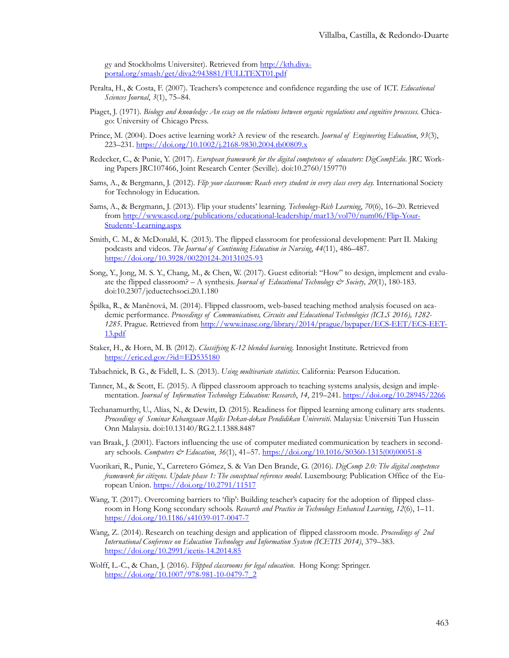gy and Stockholms Universitet). Retrieved from [http://kth.diva](http://kth.diva-portal.org/smash/get/diva2:943881/FULLTEXT01.pdf)[portal.org/smash/get/diva2:943881/FULLTEXT01.pdf](http://kth.diva-portal.org/smash/get/diva2:943881/FULLTEXT01.pdf)

- Peralta, H., & Costa, F. (2007). Teachers's competence and confidence regarding the use of ICT. *Educational Sciences Journal*, *3*(1), 75–84.
- Piaget, J. (1971). *Biology and knowledge: An essay on the relations between organic regulations and cognitive processes.* Chicago: University of Chicago Press.
- Prince, M. (2004). Does active learning work? A review of the research. *Journal of Engineering Education*, *93*(3), 223–231. [https://doi.org/10.1002/j.2168](https://doi.org/10.1002/j.2168-9830.2004.tb00809.x)-9830.2004.tb00809.x
- Redecker, C., & Punie, Y. (2017). *European framework for the digital competence of educators: DigCompEdu*. JRC Working Papers JRC107466, Joint Research Center (Seville). doi:10.2760/159770
- Sams, A., & Bergmann, J. (2012). *Flip your classroom: Reach every student in every class every day.* International Society for Technology in Education.
- Sams, A., & Bergmann, J. (2013). Flip your students' learning. *Technology-Rich Learning*, *70*(6), 16–20. Retrieved from [http://www.ascd.org/publications/educational](http://www.ascd.org/publications/educational-leadership/mar13/vol70/num06/Flip-Your-Students)-leadership/mar13/vol70/num06/Flip-Your-Students'-[Learning.aspx](http://www.ascd.org/publications/educational-leadership/mar13/vol70/num06/Flip-Your-Students)
- Smith, C. M., & McDonald, K. (2013). The flipped classroom for professional development: Part II. Making podcasts and videos. *The Journal of Continuing Education in Nursing*, *44*(11), 486–487. [https://doi.org/10.3928/00220124](https://doi.org/10.3928/00220124-20131025-93)-20131025-93
- Song, Y., Jong, M. S. Y., Chang, M., & Chen, W. (2017). Guest editorial: "How" to design, implement and evaluate the flipped classroom? – A synthesis. *Journal of Educational Technology & Society, 20*(1), 180-183. doi:10.2307/jeductechsoci.20.1.180
- Špilka, R., & Maněnová, M. (2014). Flipped classroom, web-based teaching method analysis focused on academic performance. *Proceedings of Communications, Circuits and Educational Technologies (ICLS 2016), 1282- 1285*. Prague. Retrieved from [http://www.inase.org/library/2014/prague/bypaper/ECS](http://www.inase.org/library/2014/prague/bypaper/ECS-EET/ECS-EET-13.pdf)-EET/ECS-EET-[13.pdf](http://www.inase.org/library/2014/prague/bypaper/ECS-EET/ECS-EET-13.pdf)
- Staker, H., & Horn, M. B. (2012). *Classifying K-12 blended learning*. Innosight Institute. Retrieved from <https://eric.ed.gov/?id=ED535180>
- Tabachnick, B. G., & Fidell, L. S. (2013). *Using multivariate statistics*. California: Pearson Education.
- Tanner, M., & Scott, E. (2015). A flipped classroom approach to teaching systems analysis, design and implementation. *Journal of Information Technology Education: Research*, *14*, 219–241. <https://doi.org/10.28945/2266>
- Techanamurthy, U., Alias, N., & Dewitt, D. (2015). Readiness for flipped learning among culinary arts students. *Proceedings of Seminar Kebangsaan Majlis Dekan-dekan Pendidikan Universiti*. Malaysia: Universiti Tun Hussein Onn Malaysia. doi:10.13140/RG.2.1.1388.8487
- van Braak, J. (2001). Factors influencing the use of computer mediated communication by teachers in secondary schools. *Computers & Education*, *36*(1), 41–57[. https://doi.org/10.1016/S0360](https://doi.org/10.1016/S0360-1315(00)00051-8)-1315(00)00051-8
- Vuorikari, R., Punie, Y., Carretero Gómez, S. & Van Den Brande, G. (2016). *DigComp 2.0: The digital competence framework for citizens. Update phase 1: The conceptual reference model*. Luxembourg: Publication Office of the European Union. <https://doi.org/10.2791/11517>
- Wang, T. (2017). Overcoming barriers to 'flip': Building teacher's capacity for the adoption of flipped classroom in Hong Kong secondary schools. *Research and Practice in Technology Enhanced Learning*, *12*(6), 1–11. [https://doi.org/10.1186/s41039](https://doi.org/10.1186/s41039-017-0047-7)-017-0047-7
- Wang, Z. (2014). Research on teaching design and application of flipped classroom mode. *Proceedings of 2nd International Conference on Education Technology and Information System (ICETIS 2014)*, 379–383. [https://doi.org/10.2991/icetis](https://doi.org/10.2991/icetis-14.2014.85)-14.2014.85
- Wolff, L.-C., & Chan, J. (2016). *Flipped classrooms for legal education*. Hong Kong: Springer. [https://doi.org/10.1007/978](https://doi.org/10.1007/978-981-10-0479-7_2)-981-10-0479-7\_2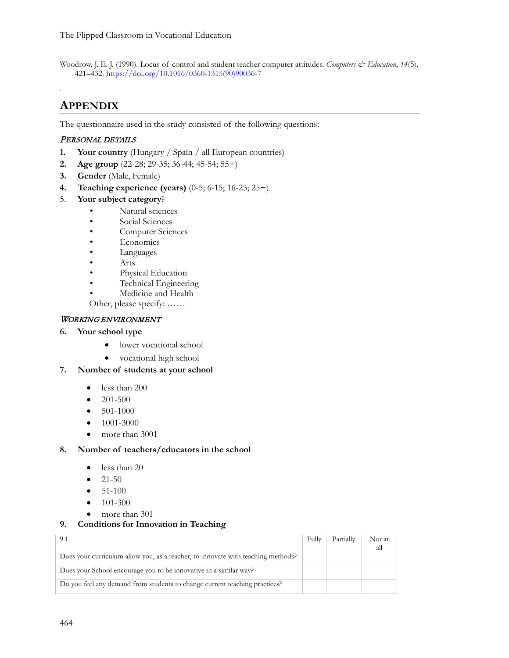Woodrow, J. E. J. (1990). Locus of control and student teacher computer attitudes. *Computers & Education*, 14(5), 421–432. [https://doi.org/10.1016/0360](https://doi.org/10.1016/0360-1315(90)90036-7)-1315(90)90036-7

# **APPENDIX**

.

The questionnaire used in the study consisted of the following questions:

## PERSONAL DETAILS

- **1. Your country** (Hungary / Spain / all European countries)
- **2. Age group** (22-28; 29-35; 36-44; 45-54; 55+)
- **3. Gender** (Male, Female)
- **4. Teaching experience (years)** (0-5; 6-15; 16-25; 25+)
- 5. **Your subject category**?
	- Natural sciences
	- Social Sciences
	- Computer Sciences
	- **Economics**
	- **Languages**
	- Arts
	- Physical Education
	- Technical Engineering
	- Medicine and Health

Other, please specify: ……

### WORKING ENVIRONMENT

### **6. Your school type**

- lower vocational school
- vocational high school
- **7. Number of students at your school** 
	- less than 200
	- $\bullet$  201-500
	- $501-1000$
	- 1001-3000
	- more than 3001

#### **8. Number of teachers/educators in the school**

- less than 20
- $21-50$
- $51-100$
- $101-300$
- more than 301

## **9. Conditions for Innovation in Teaching**

| 9.1.                                                                             | Fully | Partially | Not at |
|----------------------------------------------------------------------------------|-------|-----------|--------|
|                                                                                  |       |           | all    |
| Does your curriculum allow you, as a teacher, to innovate with teaching methods? |       |           |        |
| Does your School encourage you to be innovative in a similar way?                |       |           |        |
| Do you feel any demand from students to change current teaching practices?       |       |           |        |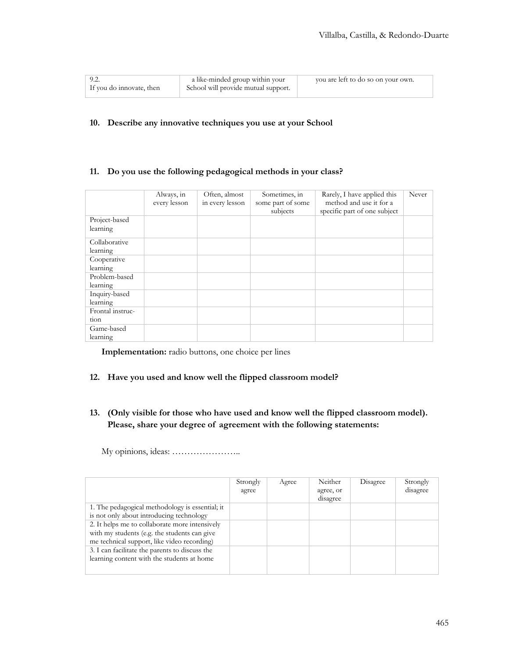| 9.2.                     | a like-minded group within your     | you are left to do so on your own. |
|--------------------------|-------------------------------------|------------------------------------|
| If you do innovate, then | School will provide mutual support. |                                    |

### **10. Describe any innovative techniques you use at your School**

### **11. Do you use the following pedagogical methods in your class?**

|                  | Always, in<br>every lesson | Often, almost<br>in every lesson | Sometimes, in<br>some part of some<br>subjects | Rarely, I have applied this<br>method and use it for a<br>specific part of one subject | Never |
|------------------|----------------------------|----------------------------------|------------------------------------------------|----------------------------------------------------------------------------------------|-------|
| Project-based    |                            |                                  |                                                |                                                                                        |       |
| learning         |                            |                                  |                                                |                                                                                        |       |
| Collaborative    |                            |                                  |                                                |                                                                                        |       |
| learning         |                            |                                  |                                                |                                                                                        |       |
| Cooperative      |                            |                                  |                                                |                                                                                        |       |
| learning         |                            |                                  |                                                |                                                                                        |       |
| Problem-based    |                            |                                  |                                                |                                                                                        |       |
| learning         |                            |                                  |                                                |                                                                                        |       |
| Inquiry-based    |                            |                                  |                                                |                                                                                        |       |
| learning         |                            |                                  |                                                |                                                                                        |       |
| Frontal instruc- |                            |                                  |                                                |                                                                                        |       |
| tion             |                            |                                  |                                                |                                                                                        |       |
| Game-based       |                            |                                  |                                                |                                                                                        |       |
| learning         |                            |                                  |                                                |                                                                                        |       |

**Implementation:** radio buttons, one choice per lines

#### **12. Have you used and know well the flipped classroom model?**

**13. (Only visible for those who have used and know well the flipped classroom model). Please, share your degree of agreement with the following statements:**

My opinions, ideas: …………………..

|                                                 | Strongly<br>agree | Agree | Neither<br>agree, or<br>disagree | Disagree | Strongly<br>disagree |
|-------------------------------------------------|-------------------|-------|----------------------------------|----------|----------------------|
| 1. The pedagogical methodology is essential; it |                   |       |                                  |          |                      |
| is not only about introducing technology        |                   |       |                                  |          |                      |
| 2. It helps me to collaborate more intensively  |                   |       |                                  |          |                      |
| with my students (e.g. the students can give    |                   |       |                                  |          |                      |
| me technical support, like video recording)     |                   |       |                                  |          |                      |
| 3. I can facilitate the parents to discuss the  |                   |       |                                  |          |                      |
| learning content with the students at home      |                   |       |                                  |          |                      |
|                                                 |                   |       |                                  |          |                      |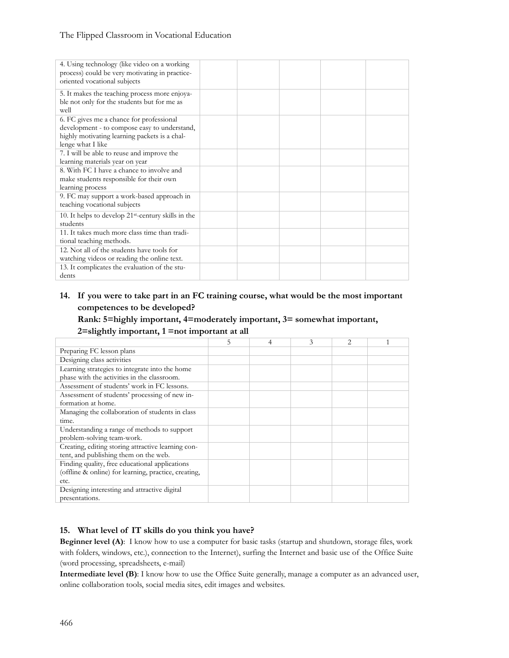## The Flipped Classroom in Vocational Education

| 4. Using technology (like video on a working<br>process) could be very motivating in practice-<br>oriented vocational subjects                                 |  |  |  |
|----------------------------------------------------------------------------------------------------------------------------------------------------------------|--|--|--|
| 5. It makes the teaching process more enjoya-<br>ble not only for the students but for me as<br>well                                                           |  |  |  |
| 6. FC gives me a chance for professional<br>development - to compose easy to understand,<br>highly motivating learning packets is a chal-<br>lenge what I like |  |  |  |
| 7. I will be able to reuse and improve the<br>learning materials year on year                                                                                  |  |  |  |
| 8. With FC I have a chance to involve and<br>make students responsible for their own<br>learning process                                                       |  |  |  |
| 9. FC may support a work-based approach in<br>teaching vocational subjects                                                                                     |  |  |  |
| 10. It helps to develop $21$ <sup>st</sup> -century skills in the<br>students                                                                                  |  |  |  |
| 11. It takes much more class time than tradi-<br>tional teaching methods.                                                                                      |  |  |  |
| 12. Not all of the students have tools for<br>watching videos or reading the online text.                                                                      |  |  |  |
| 13. It complicates the evaluation of the stu-<br>dents                                                                                                         |  |  |  |

## **14. If you were to take part in an FC training course, what would be the most important competences to be developed?**

**Rank: 5=highly important, 4=moderately important, 3= somewhat important,** 

#### **2=slightly important, 1 =not important at all**

|                                                      | 5 | 4 | 3 | $\overline{c}$ |  |
|------------------------------------------------------|---|---|---|----------------|--|
| Preparing FC lesson plans                            |   |   |   |                |  |
| Designing class activities                           |   |   |   |                |  |
| Learning strategies to integrate into the home       |   |   |   |                |  |
| phase with the activities in the classroom.          |   |   |   |                |  |
| Assessment of students' work in FC lessons.          |   |   |   |                |  |
| Assessment of students' processing of new in-        |   |   |   |                |  |
| formation at home.                                   |   |   |   |                |  |
| Managing the collaboration of students in class      |   |   |   |                |  |
| time.                                                |   |   |   |                |  |
| Understanding a range of methods to support          |   |   |   |                |  |
| problem-solving team-work.                           |   |   |   |                |  |
| Creating, editing storing attractive learning con-   |   |   |   |                |  |
| tent, and publishing them on the web.                |   |   |   |                |  |
| Finding quality, free educational applications       |   |   |   |                |  |
| (offline & online) for learning, practice, creating, |   |   |   |                |  |
| etc.                                                 |   |   |   |                |  |
| Designing interesting and attractive digital         |   |   |   |                |  |
| presentations.                                       |   |   |   |                |  |

## **15. What level of IT skills do you think you have?**

**Beginner level (A)**: I know how to use a computer for basic tasks (startup and shutdown, storage files, work with folders, windows, etc.), connection to the Internet), surfing the Internet and basic use of the Office Suite (word processing, spreadsheets, e-mail)

**Intermediate level (B)**: I know how to use the Office Suite generally, manage a computer as an advanced user, online collaboration tools, social media sites, edit images and websites.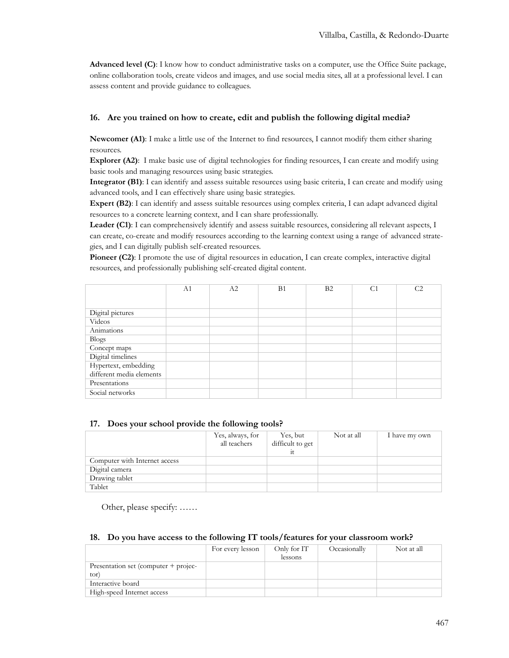**Advanced level (C)**: I know how to conduct administrative tasks on a computer, use the Office Suite package, online collaboration tools, create videos and images, and use social media sites, all at a professional level. I can assess content and provide guidance to colleagues.

### **16. Are you trained on how to create, edit and publish the following digital media?**

**Newcomer (A1)**: I make a little use of the Internet to find resources, I cannot modify them either sharing resources.

**Explorer (A2)**: I make basic use of digital technologies for finding resources, I can create and modify using basic tools and managing resources using basic strategies.

**Integrator (B1)**: I can identify and assess suitable resources using basic criteria, I can create and modify using advanced tools, and I can effectively share using basic strategies.

**Expert (B2)**: I can identify and assess suitable resources using complex criteria, I can adapt advanced digital resources to a concrete learning context, and I can share professionally.

**Leader (C1)**: I can comprehensively identify and assess suitable resources, considering all relevant aspects, I can create, co-create and modify resources according to the learning context using a range of advanced strategies, and I can digitally publish self-created resources.

**Pioneer (C2)**: I promote the use of digital resources in education, I can create complex, interactive digital resources, and professionally publishing self-created digital content.

|                          | A1 | A2 | B1 | B2 | C <sub>1</sub> | C <sub>2</sub> |
|--------------------------|----|----|----|----|----------------|----------------|
|                          |    |    |    |    |                |                |
| Digital pictures         |    |    |    |    |                |                |
| Videos                   |    |    |    |    |                |                |
| Animations               |    |    |    |    |                |                |
| <b>Blogs</b>             |    |    |    |    |                |                |
| Concept maps             |    |    |    |    |                |                |
| Digital timelines        |    |    |    |    |                |                |
| Hypertext, embedding     |    |    |    |    |                |                |
| different media elements |    |    |    |    |                |                |
| Presentations            |    |    |    |    |                |                |
| Social networks          |    |    |    |    |                |                |

#### **17. Does your school provide the following tools?**

|                               | Yes, always, for<br>all teachers | Yes, but<br>difficult to get | Not at all | I have my own |
|-------------------------------|----------------------------------|------------------------------|------------|---------------|
| Computer with Internet access |                                  |                              |            |               |
| Digital camera                |                                  |                              |            |               |
| Drawing tablet                |                                  |                              |            |               |
| Tablet                        |                                  |                              |            |               |

Other, please specify: ……

#### **18. Do you have access to the following IT tools/features for your classroom work?**

|                                      | For every lesson | Only for IT | Occasionally | Not at all |
|--------------------------------------|------------------|-------------|--------------|------------|
|                                      |                  | lessons     |              |            |
| Presentation set (computer + projec- |                  |             |              |            |
| tor)                                 |                  |             |              |            |
| Interactive board                    |                  |             |              |            |
| High-speed Internet access           |                  |             |              |            |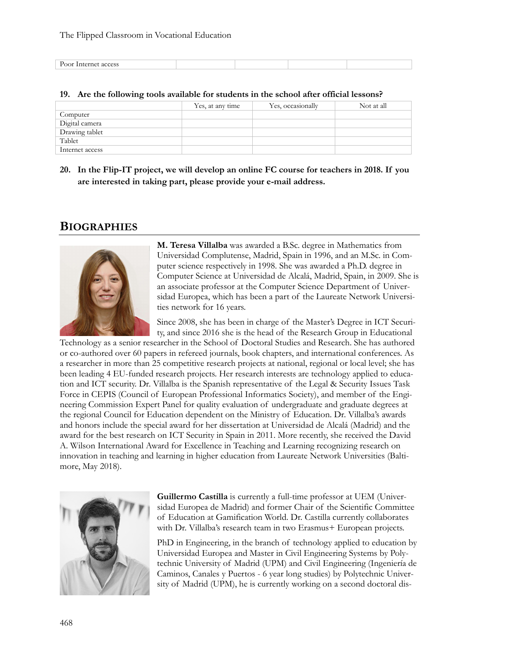| $\mathbf{r}$ |  |  |
|--------------|--|--|
|              |  |  |

| 19. Are the following tools available for students in the school after official lessons? |  |  |
|------------------------------------------------------------------------------------------|--|--|
|                                                                                          |  |  |

|                 | Yes, at any time | Yes, occasionally | Not at all |
|-----------------|------------------|-------------------|------------|
| Computer        |                  |                   |            |
| Digital camera  |                  |                   |            |
| Drawing tablet  |                  |                   |            |
| Tablet          |                  |                   |            |
| Internet access |                  |                   |            |

**20. In the Flip-IT project, we will develop an online FC course for teachers in 2018. If you are interested in taking part, please provide your e-mail address.**

# **BIOGRAPHIES**



**M. Teresa Villalba** was awarded a B.Sc. degree in Mathematics from Universidad Complutense, Madrid, Spain in 1996, and an M.Sc. in Computer science respectively in 1998. She was awarded a Ph.D. degree in Computer Science at Universidad de Alcalá, Madrid, Spain, in 2009. She is an associate professor at the Computer Science Department of Universidad Europea, which has been a part of the Laureate Network Universities network for 16 years.

Since 2008, she has been in charge of the Master's Degree in ICT Security, and since 2016 she is the head of the Research Group in Educational

Technology as a senior researcher in the School of Doctoral Studies and Research. She has authored or co-authored over 60 papers in refereed journals, book chapters, and international conferences. As a researcher in more than 25 competitive research projects at national, regional or local level; she has been leading 4 EU-funded research projects. Her research interests are technology applied to education and ICT security. Dr. Villalba is the Spanish representative of the Legal & Security Issues Task Force in CEPIS (Council of European Professional Informatics Society), and member of the Engineering Commission Expert Panel for quality evaluation of undergraduate and graduate degrees at the regional Council for Education dependent on the Ministry of Education. Dr. Villalba's awards and honors include the special award for her dissertation at Universidad de Alcalá (Madrid) and the award for the best research on ICT Security in Spain in 2011. More recently, she received the David A. Wilson International Award for Excellence in Teaching and Learning recognizing research on innovation in teaching and learning in higher education from Laureate Network Universities (Baltimore, May 2018).



**Guillermo Castilla** is currently a full-time professor at UEM (Universidad Europea de Madrid) and former Chair of the Scientific Committee of Education at Gamification World. Dr. Castilla currently collaborates with Dr. Villalba's research team in two Erasmus + European projects.

PhD in Engineering, in the branch of technology applied to education by Universidad Europea and Master in Civil Engineering Systems by Polytechnic University of Madrid (UPM) and Civil Engineering (Ingeniería de Caminos, Canales y Puertos - 6 year long studies) by Polytechnic University of Madrid (UPM), he is currently working on a second doctoral dis-